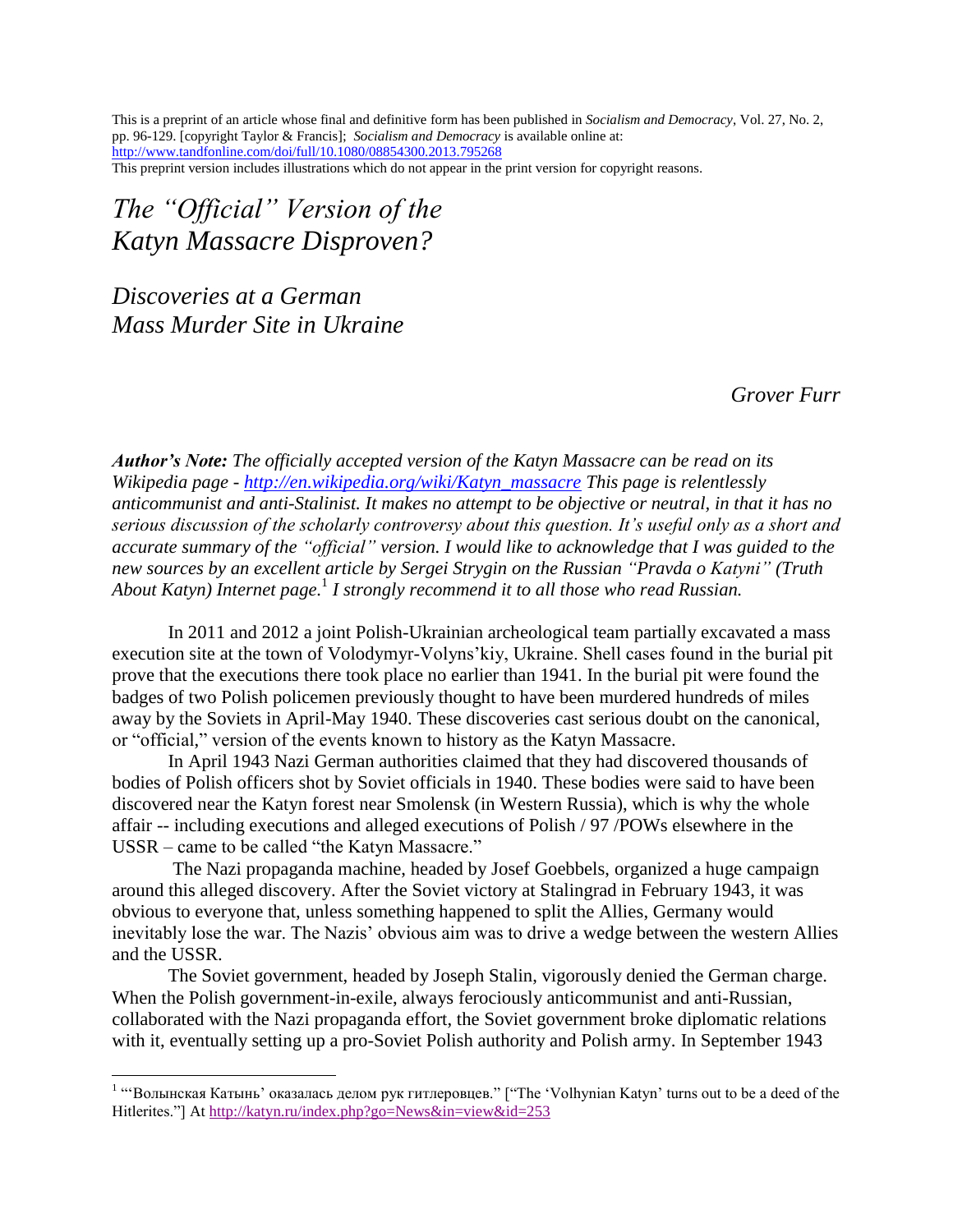This is a preprint of an article whose final and definitive form has been published in *Socialism and Democracy*, Vol. 27, No. 2, pp. 96-129. [copyright Taylor & Francis]; *Socialism and Democracy* is available online at: <http://www.tandfonline.com/doi/full/10.1080/08854300.2013.795268> This preprint version includes illustrations which do not appear in the print version for copyright reasons.

*The "Official" Version of the Katyn Massacre Disproven?*

*Discoveries at a German Mass Murder Site in Ukraine*

 $\overline{a}$ 

*Grover Furr*

*Author's Note: The officially accepted version of the Katyn Massacre can be read on its Wikipedia page - [http://en.wikipedia.org/wiki/Katyn\\_massacre](http://en.wikipedia.org/wiki/Katyn_massacre) This page is relentlessly anticommunist and anti-Stalinist. It makes no attempt to be objective or neutral, in that it has no serious discussion of the scholarly controversy about this question. It's useful only as a short and accurate summary of the "official" version. I would like to acknowledge that I was guided to the new sources by an excellent article by Sergei Strygin on the Russian "Pravda o Katyni" (Truth About Katyn) Internet page.* 1 *I strongly recommend it to all those who read Russian.*

In 2011 and 2012 a joint Polish-Ukrainian archeological team partially excavated a mass execution site at the town of Volodymyr-Volyns'kiy, Ukraine. Shell cases found in the burial pit prove that the executions there took place no earlier than 1941. In the burial pit were found the badges of two Polish policemen previously thought to have been murdered hundreds of miles away by the Soviets in April-May 1940. These discoveries cast serious doubt on the canonical, or "official," version of the events known to history as the Katyn Massacre.

In April 1943 Nazi German authorities claimed that they had discovered thousands of bodies of Polish officers shot by Soviet officials in 1940. These bodies were said to have been discovered near the Katyn forest near Smolensk (in Western Russia), which is why the whole affair -- including executions and alleged executions of Polish / 97 /POWs elsewhere in the USSR – came to be called "the Katyn Massacre."

The Nazi propaganda machine, headed by Josef Goebbels, organized a huge campaign around this alleged discovery. After the Soviet victory at Stalingrad in February 1943, it was obvious to everyone that, unless something happened to split the Allies, Germany would inevitably lose the war. The Nazis' obvious aim was to drive a wedge between the western Allies and the USSR.

The Soviet government, headed by Joseph Stalin, vigorously denied the German charge. When the Polish government-in-exile, always ferociously anticommunist and anti-Russian, collaborated with the Nazi propaganda effort, the Soviet government broke diplomatic relations with it, eventually setting up a pro-Soviet Polish authority and Polish army. In September 1943

<sup>&</sup>lt;sup>1</sup> "Волынская Катынь' оказалась делом рук гитлеровцев." ["The 'Volhynian Katyn' turns out to be a deed of the Hitlerites."] At <http://katyn.ru/index.php?go=News&in=view&id=253>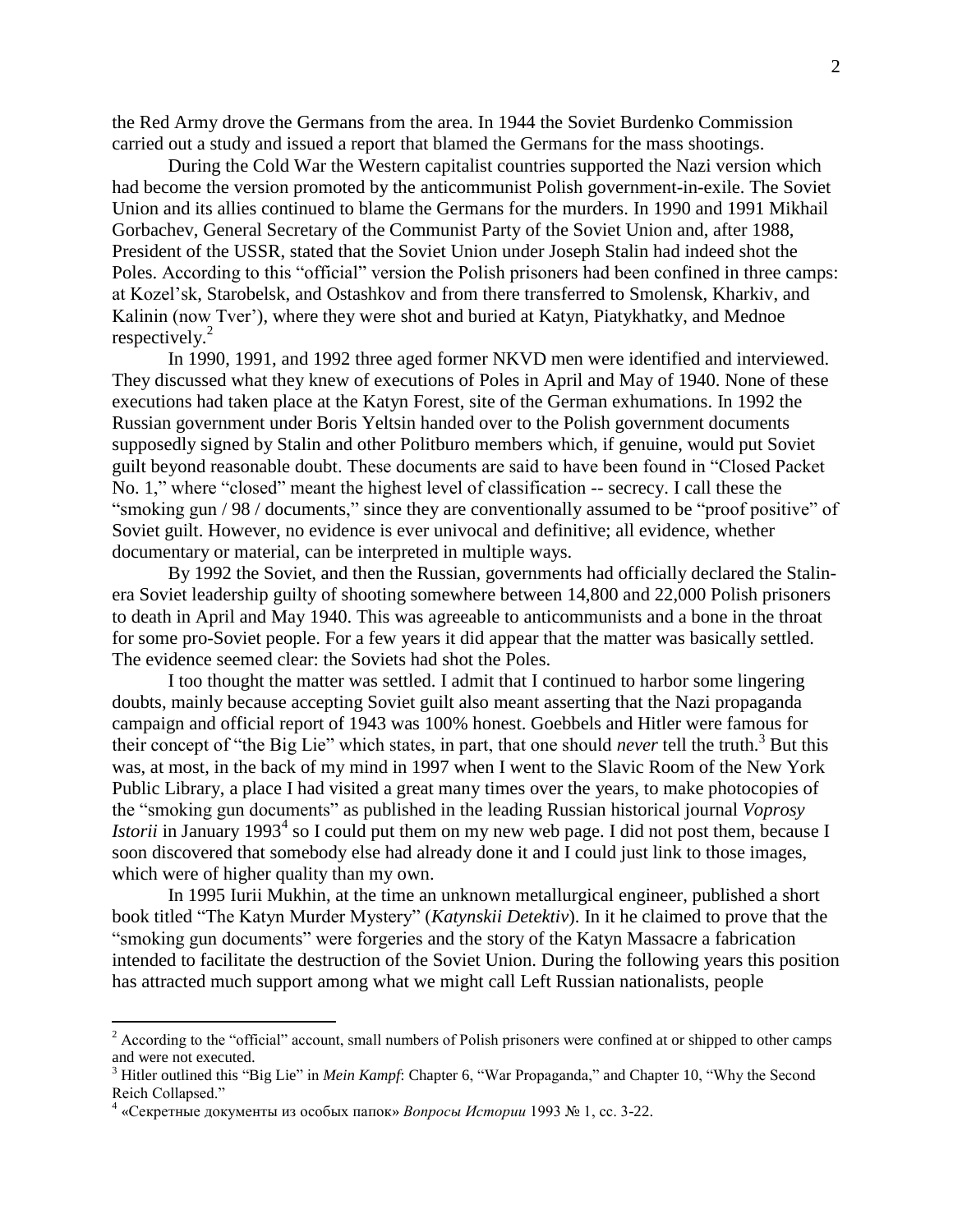the Red Army drove the Germans from the area. In 1944 the Soviet Burdenko Commission carried out a study and issued a report that blamed the Germans for the mass shootings.

During the Cold War the Western capitalist countries supported the Nazi version which had become the version promoted by the anticommunist Polish government-in-exile. The Soviet Union and its allies continued to blame the Germans for the murders. In 1990 and 1991 Mikhail Gorbachev, General Secretary of the Communist Party of the Soviet Union and, after 1988, President of the USSR, stated that the Soviet Union under Joseph Stalin had indeed shot the Poles. According to this "official" version the Polish prisoners had been confined in three camps: at Kozel'sk, Starobelsk, and Ostashkov and from there transferred to Smolensk, Kharkiv, and Kalinin (now Tver'), where they were shot and buried at Katyn, Piatykhatky, and Mednoe respectively. $2$ 

In 1990, 1991, and 1992 three aged former NKVD men were identified and interviewed. They discussed what they knew of executions of Poles in April and May of 1940. None of these executions had taken place at the Katyn Forest, site of the German exhumations. In 1992 the Russian government under Boris Yeltsin handed over to the Polish government documents supposedly signed by Stalin and other Politburo members which, if genuine, would put Soviet guilt beyond reasonable doubt. These documents are said to have been found in "Closed Packet" No. 1," where "closed" meant the highest level of classification -- secrecy. I call these the "smoking gun / 98 / documents," since they are conventionally assumed to be "proof positive" of Soviet guilt. However, no evidence is ever univocal and definitive; all evidence, whether documentary or material, can be interpreted in multiple ways.

By 1992 the Soviet, and then the Russian, governments had officially declared the Stalinera Soviet leadership guilty of shooting somewhere between 14,800 and 22,000 Polish prisoners to death in April and May 1940. This was agreeable to anticommunists and a bone in the throat for some pro-Soviet people. For a few years it did appear that the matter was basically settled. The evidence seemed clear: the Soviets had shot the Poles.

I too thought the matter was settled. I admit that I continued to harbor some lingering doubts, mainly because accepting Soviet guilt also meant asserting that the Nazi propaganda campaign and official report of 1943 was 100% honest. Goebbels and Hitler were famous for their concept of "the Big Lie" which states, in part, that one should *never* tell the truth.<sup>3</sup> But this was, at most, in the back of my mind in 1997 when I went to the Slavic Room of the New York Public Library, a place I had visited a great many times over the years, to make photocopies of the "smoking gun documents" as published in the leading Russian historical journal *Voprosy Istorii* in January 1993<sup>4</sup> so I could put them on my new web page. I did not post them, because I soon discovered that somebody else had already done it and I could just link to those images, which were of higher quality than my own.

In 1995 Iurii Mukhin, at the time an unknown metallurgical engineer, published a short book titled "The Katyn Murder Mystery" (*Katynskii Detektiv*). In it he claimed to prove that the "smoking gun documents" were forgeries and the story of the Katyn Massacre a fabrication intended to facilitate the destruction of the Soviet Union. During the following years this position has attracted much support among what we might call Left Russian nationalists, people

 $2^2$  According to the "official" account, small numbers of Polish prisoners were confined at or shipped to other camps and were not executed.

 $3$  Hitler outlined this "Big Lie" in *Mein Kampf*: Chapter 6, "War Propaganda," and Chapter 10, "Why the Second Reich Collapsed."

<sup>&</sup>lt;sup>4</sup> «Секретные документы из особых папок» Вопросы Истории 1993 № 1, сс. 3-22.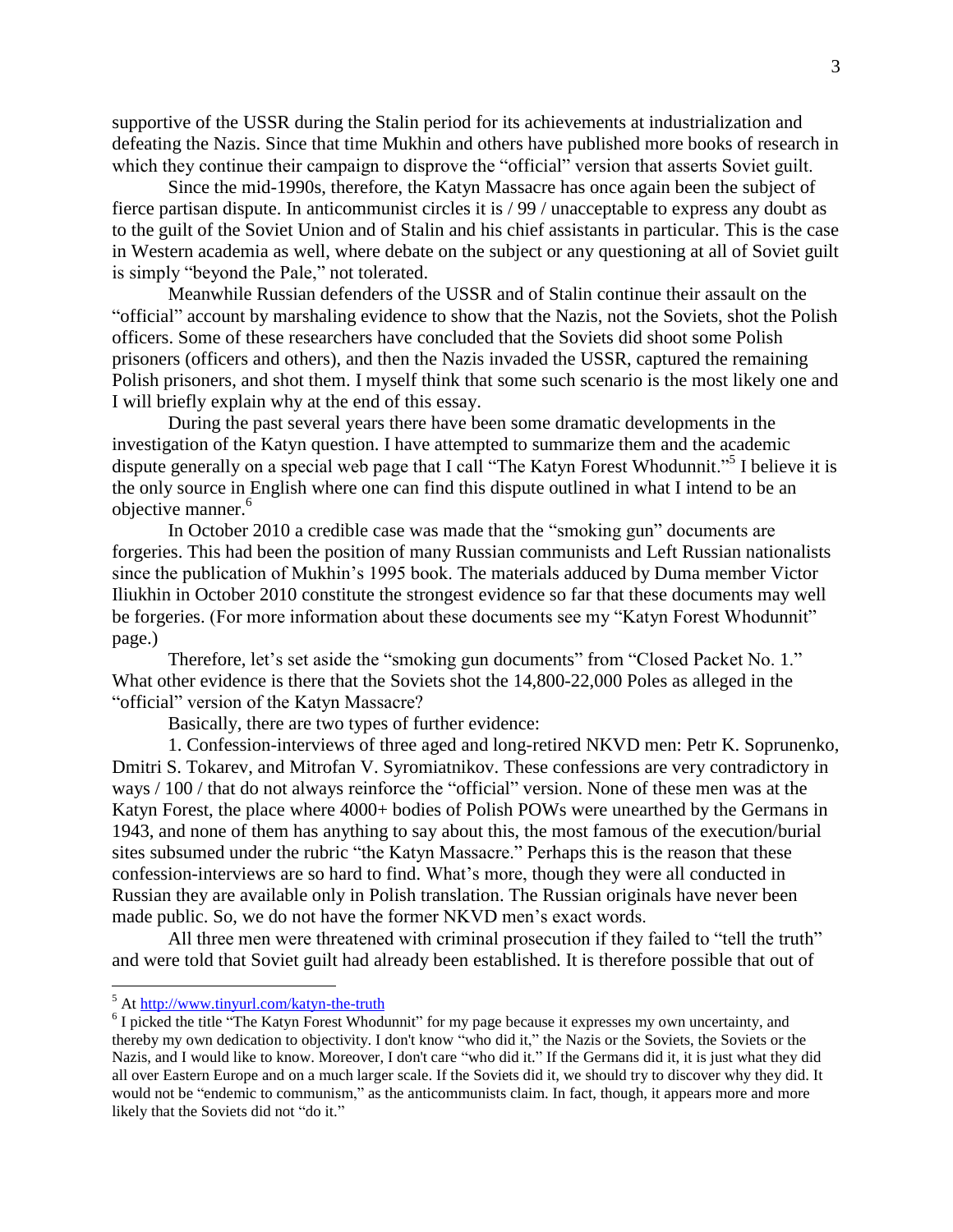supportive of the USSR during the Stalin period for its achievements at industrialization and defeating the Nazis. Since that time Mukhin and others have published more books of research in which they continue their campaign to disprove the "official" version that asserts Soviet guilt.

Since the mid-1990s, therefore, the Katyn Massacre has once again been the subject of fierce partisan dispute. In anticommunist circles it is / 99 / unacceptable to express any doubt as to the guilt of the Soviet Union and of Stalin and his chief assistants in particular. This is the case in Western academia as well, where debate on the subject or any questioning at all of Soviet guilt is simply "beyond the Pale," not tolerated.

Meanwhile Russian defenders of the USSR and of Stalin continue their assault on the ―official‖ account by marshaling evidence to show that the Nazis, not the Soviets, shot the Polish officers. Some of these researchers have concluded that the Soviets did shoot some Polish prisoners (officers and others), and then the Nazis invaded the USSR, captured the remaining Polish prisoners, and shot them. I myself think that some such scenario is the most likely one and I will briefly explain why at the end of this essay.

During the past several years there have been some dramatic developments in the investigation of the Katyn question. I have attempted to summarize them and the academic dispute generally on a special web page that I call "The Katyn Forest Whodunnit."<sup>5</sup> I believe it is the only source in English where one can find this dispute outlined in what I intend to be an objective manner.<sup>6</sup>

In October 2010 a credible case was made that the "smoking gun" documents are forgeries. This had been the position of many Russian communists and Left Russian nationalists since the publication of Mukhin's 1995 book. The materials adduced by Duma member Victor Iliukhin in October 2010 constitute the strongest evidence so far that these documents may well be forgeries. (For more information about these documents see my "Katyn Forest Whodunnit" page.)

Therefore, let's set aside the "smoking gun documents" from "Closed Packet No. 1." What other evidence is there that the Soviets shot the 14,800-22,000 Poles as alleged in the "official" version of the Katyn Massacre?

Basically, there are two types of further evidence:

1. Confession-interviews of three aged and long-retired NKVD men: Petr K. Soprunenko, Dmitri S. Tokarev, and Mitrofan V. Syromiatnikov. These confessions are very contradictory in ways / 100 / that do not always reinforce the "official" version. None of these men was at the Katyn Forest, the place where 4000+ bodies of Polish POWs were unearthed by the Germans in 1943, and none of them has anything to say about this, the most famous of the execution/burial sites subsumed under the rubric "the Katyn Massacre." Perhaps this is the reason that these confession-interviews are so hard to find. What's more, though they were all conducted in Russian they are available only in Polish translation. The Russian originals have never been made public. So, we do not have the former NKVD men's exact words.

All three men were threatened with criminal prosecution if they failed to "tell the truth" and were told that Soviet guilt had already been established. It is therefore possible that out of

<sup>&</sup>lt;sup>5</sup> At<http://www.tinyurl.com/katyn-the-truth>

 $6$  I picked the title "The Katyn Forest Whodunnit" for my page because it expresses my own uncertainty, and thereby my own dedication to objectivity. I don't know "who did it," the Nazis or the Soviets, the Soviets or the Nazis, and I would like to know. Moreover, I don't care "who did it." If the Germans did it, it is just what they did all over Eastern Europe and on a much larger scale. If the Soviets did it, we should try to discover why they did. It would not be "endemic to communism," as the anticommunists claim. In fact, though, it appears more and more likely that the Soviets did not "do it."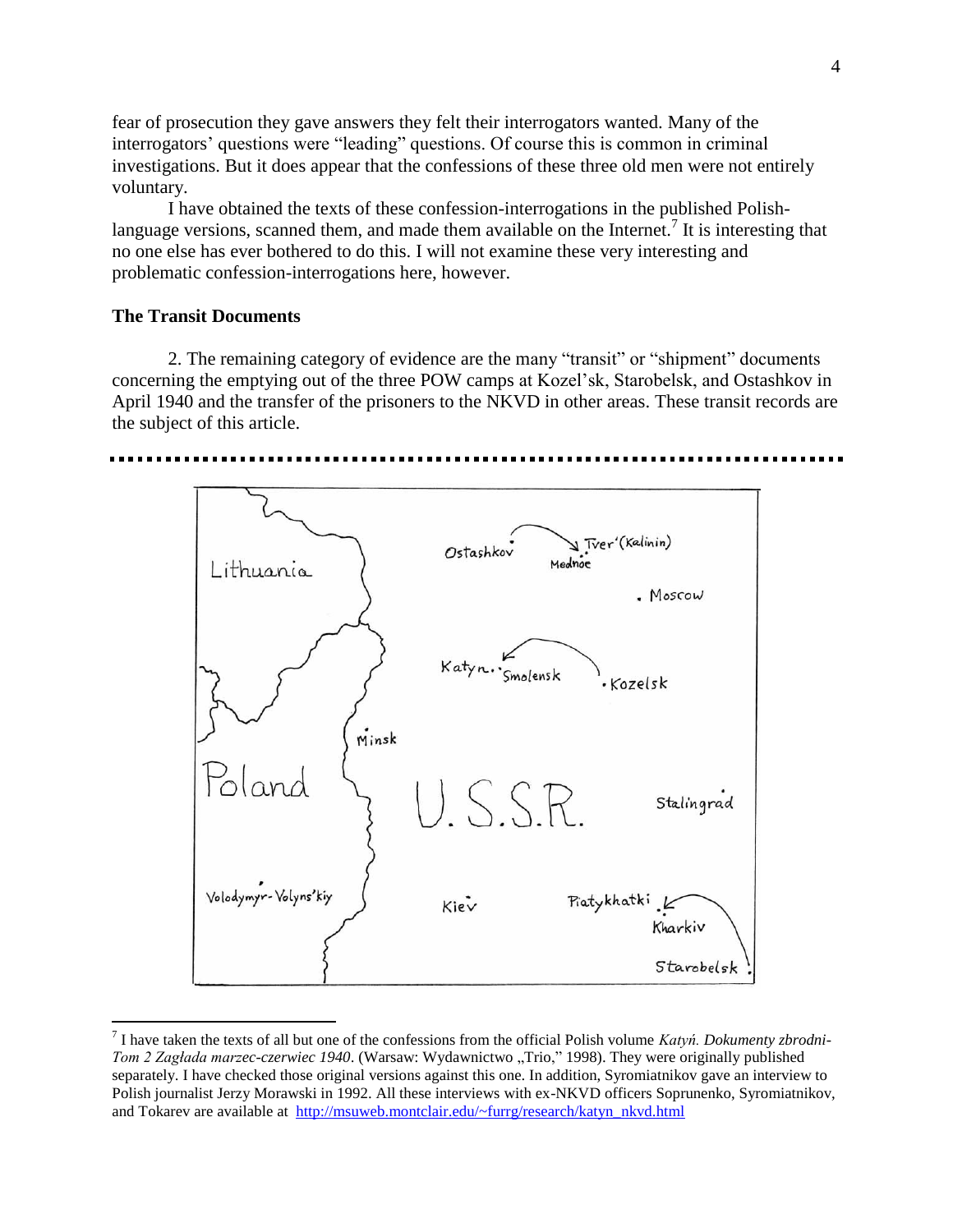fear of prosecution they gave answers they felt their interrogators wanted. Many of the interrogators' questions were "leading" questions. Of course this is common in criminal investigations. But it does appear that the confessions of these three old men were not entirely voluntary.

I have obtained the texts of these confession-interrogations in the published Polishlanguage versions, scanned them, and made them available on the Internet.<sup>7</sup> It is interesting that no one else has ever bothered to do this. I will not examine these very interesting and problematic confession-interrogations here, however.

## **The Transit Documents**

 $\overline{a}$ 

2. The remaining category of evidence are the many "transit" or "shipment" documents concerning the emptying out of the three POW camps at Kozel'sk, Starobelsk, and Ostashkov in April 1940 and the transfer of the prisoners to the NKVD in other areas. These transit records are the subject of this article.



<sup>7</sup> I have taken the texts of all but one of the confessions from the official Polish volume *Katyń. Dokumenty zbrodni-Tom 2 Zagłada marzec-czerwiec 1940*. (Warsaw: Wydawnictwo "Trio," 1998). They were originally published separately. I have checked those original versions against this one. In addition, Syromiatnikov gave an interview to Polish journalist Jerzy Morawski in 1992. All these interviews with ex-NKVD officers Soprunenko, Syromiatnikov, and Tokarev are available at [http://msuweb.montclair.edu/~furrg/research/katyn\\_nkvd.html](http://msuweb.montclair.edu/~furrg/research/katyn_nkvd.html)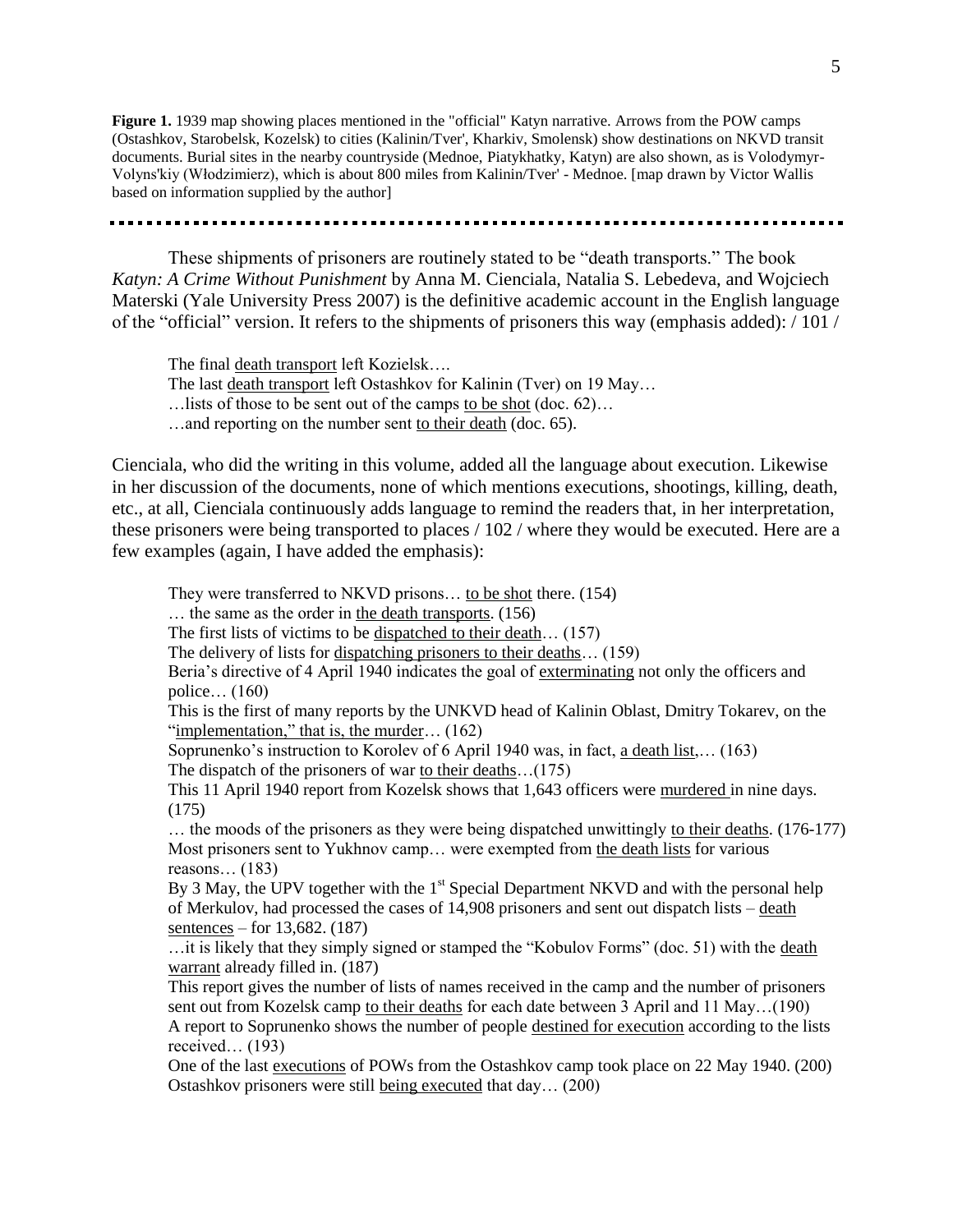**Figure 1.** 1939 map showing places mentioned in the "official" Katyn narrative. Arrows from the POW camps (Ostashkov, Starobelsk, Kozelsk) to cities (Kalinin/Tver', Kharkiv, Smolensk) show destinations on NKVD transit documents. Burial sites in the nearby countryside (Mednoe, Piatykhatky, Katyn) are also shown, as is Volodymyr-Volyns'kiy (Włodzimierz), which is about 800 miles from Kalinin/Tver' - Mednoe. [map drawn by Victor Wallis based on information supplied by the author]

These shipments of prisoners are routinely stated to be "death transports." The book *Katyn: A Crime Without Punishment* by Anna M. Cienciala, Natalia S. Lebedeva, and Wojciech Materski (Yale University Press 2007) is the definitive academic account in the English language of the "official" version. It refers to the shipments of prisoners this way (emphasis added): / 101 /

The final death transport left Kozielsk…. The last death transport left Ostashkov for Kalinin (Tver) on 19 May... …lists of those to be sent out of the camps to be shot (doc. 62)… …and reporting on the number sent to their death (doc. 65).

Cienciala, who did the writing in this volume, added all the language about execution. Likewise in her discussion of the documents, none of which mentions executions, shootings, killing, death, etc., at all, Cienciala continuously adds language to remind the readers that, in her interpretation, these prisoners were being transported to places / 102 / where they would be executed. Here are a few examples (again, I have added the emphasis):

They were transferred to NKVD prisons… to be shot there. (154)

… the same as the order in the death transports. (156)

The first lists of victims to be dispatched to their death… (157)

The delivery of lists for dispatching prisoners to their deaths… (159)

Beria's directive of 4 April 1940 indicates the goal of exterminating not only the officers and police… (160)

This is the first of many reports by the UNKVD head of Kalinin Oblast, Dmitry Tokarev, on the "implementation," that is, the murder...  $(162)$ 

Soprunenko's instruction to Korolev of 6 April 1940 was, in fact, a death list,… (163) The dispatch of the prisoners of war to their deaths...(175)

This 11 April 1940 report from Kozelsk shows that 1,643 officers were murdered in nine days. (175)

… the moods of the prisoners as they were being dispatched unwittingly to their deaths. (176-177) Most prisoners sent to Yukhnov camp… were exempted from the death lists for various reasons… (183)

By 3 May, the UPV together with the  $1<sup>st</sup>$  Special Department NKVD and with the personal help of Merkulov, had processed the cases of 14,908 prisoners and sent out dispatch lists – death sentences – for 13,682. (187)

 $\ldots$  it is likely that they simply signed or stamped the "Kobulov Forms" (doc. 51) with the death warrant already filled in. (187)

This report gives the number of lists of names received in the camp and the number of prisoners sent out from Kozelsk camp to their deaths for each date between 3 April and 11 May…(190) A report to Soprunenko shows the number of people destined for execution according to the lists received… (193)

One of the last executions of POWs from the Ostashkov camp took place on 22 May 1940. (200) Ostashkov prisoners were still being executed that day… (200)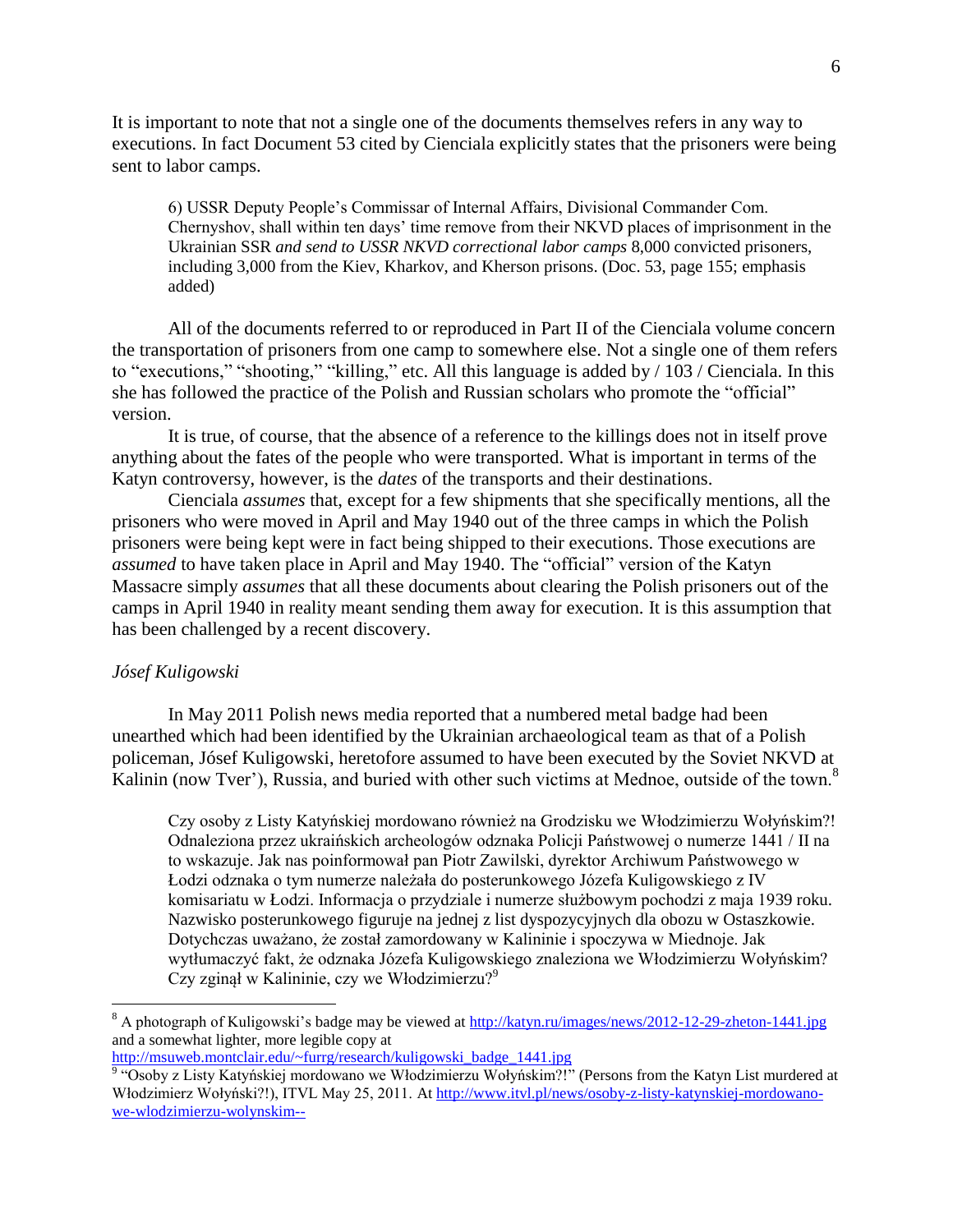It is important to note that not a single one of the documents themselves refers in any way to executions. In fact Document 53 cited by Cienciala explicitly states that the prisoners were being sent to labor camps.

6) USSR Deputy People's Commissar of Internal Affairs, Divisional Commander Com. Chernyshov, shall within ten days' time remove from their NKVD places of imprisonment in the Ukrainian SSR *and send to USSR NKVD correctional labor camps* 8,000 convicted prisoners, including 3,000 from the Kiev, Kharkov, and Kherson prisons. (Doc. 53, page 155; emphasis added)

All of the documents referred to or reproduced in Part II of the Cienciala volume concern the transportation of prisoners from one camp to somewhere else. Not a single one of them refers to "executions," "shooting," "killing," etc. All this language is added by  $/ 103 /$  Cienciala. In this she has followed the practice of the Polish and Russian scholars who promote the "official" version.

It is true, of course, that the absence of a reference to the killings does not in itself prove anything about the fates of the people who were transported. What is important in terms of the Katyn controversy, however, is the *dates* of the transports and their destinations.

Cienciala *assumes* that, except for a few shipments that she specifically mentions, all the prisoners who were moved in April and May 1940 out of the three camps in which the Polish prisoners were being kept were in fact being shipped to their executions. Those executions are *assumed* to have taken place in April and May 1940. The "official" version of the Katyn Massacre simply *assumes* that all these documents about clearing the Polish prisoners out of the camps in April 1940 in reality meant sending them away for execution. It is this assumption that has been challenged by a recent discovery.

### *Jósef Kuligowski*

 $\overline{a}$ 

In May 2011 Polish news media reported that a numbered metal badge had been unearthed which had been identified by the Ukrainian archaeological team as that of a Polish policeman, Jósef Kuligowski, heretofore assumed to have been executed by the Soviet NKVD at Kalinin (now Tver'), Russia, and buried with other such victims at Mednoe, outside of the town.<sup>8</sup>

Czy osoby z Listy Katyńskiej mordowano również na Grodzisku we Włodzimierzu Wołyńskim?! Odnaleziona przez ukraińskich archeologów odznaka Policji Państwowej o numerze 1441 / II na to wskazuje. Jak nas poinformował pan Piotr Zawilski, dyrektor Archiwum Państwowego w Łodzi odznaka o tym numerze należała do posterunkowego Józefa Kuligowskiego z IV komisariatu w Łodzi. Informacja o przydziale i numerze służbowym pochodzi z maja 1939 roku. Nazwisko posterunkowego figuruje na jednej z list dyspozycyjnych dla obozu w Ostaszkowie. Dotychczas uważano, że został zamordowany w Kalininie i spoczywa w Miednoje. Jak wytłumaczyć fakt, że odznaka Józefa Kuligowskiego znaleziona we Włodzimierzu Wołyńskim? Czy zginął w Kalininie, czy we Włodzimierzu? $9^9$ 

[http://msuweb.montclair.edu/~furrg/research/kuligowski\\_badge\\_1441.jpg](http://msuweb.montclair.edu/~furrg/research/kuligowski_badge_1441.jpg)

<sup>&</sup>lt;sup>8</sup> A photograph of Kuligowski's badge may be viewed at<http://katyn.ru/images/news/2012-12-29-zheton-1441.jpg> and a somewhat lighter, more legible copy at

<sup>&</sup>lt;sup>9</sup> "Osoby z Listy Katyńskiej mordowano we Włodzimierzu Wołyńskim?!" (Persons from the Katyn List murdered at Włodzimierz Wołyński?!), ITVL May 25, 2011. At [http://www.itvl.pl/news/osoby-z-listy-katynskiej-mordowano](http://www.itvl.pl/news/osoby-z-listy-katynskiej-mordowano-we-wlodzimierzu-wolynskim--)[we-wlodzimierzu-wolynskim--](http://www.itvl.pl/news/osoby-z-listy-katynskiej-mordowano-we-wlodzimierzu-wolynskim--)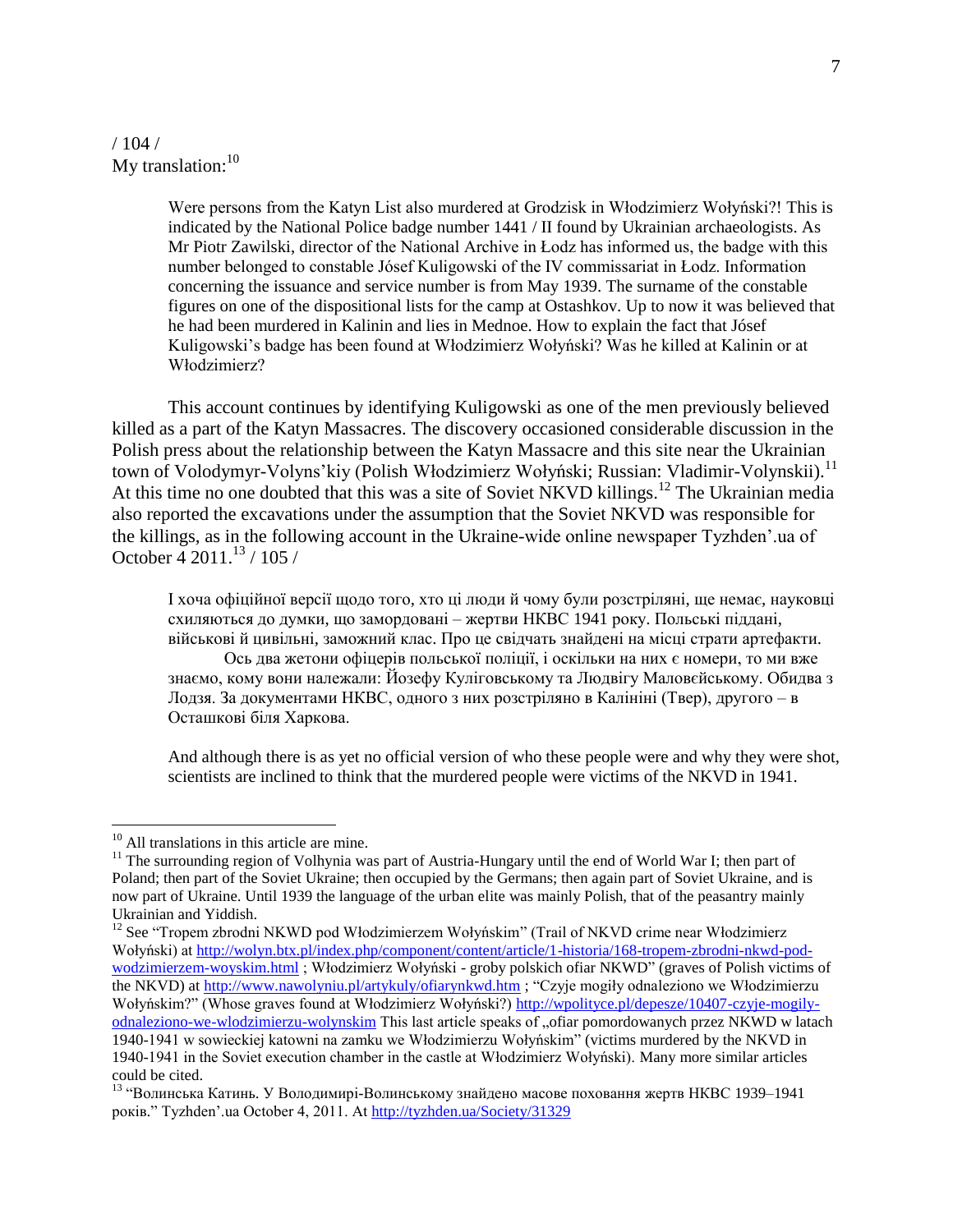# $/ 104 /$ My translation:<sup>10</sup>

Were persons from the Katyn List also murdered at Grodzisk in Włodzimierz Wołyński?! This is indicated by the National Police badge number 1441 / II found by Ukrainian archaeologists. As Mr Piotr Zawilski, director of the National Archive in Łodz has informed us, the badge with this number belonged to constable Jósef Kuligowski of the IV commissariat in Łodz. Information concerning the issuance and service number is from May 1939. The surname of the constable figures on one of the dispositional lists for the camp at Ostashkov. Up to now it was believed that he had been murdered in Kalinin and lies in Mednoe. How to explain the fact that Jósef Kuligowski's badge has been found at Włodzimierz Wołyński? Was he killed at Kalinin or at Włodzimierz?

This account continues by identifying Kuligowski as one of the men previously believed killed as a part of the Katyn Massacres. The discovery occasioned considerable discussion in the Polish press about the relationship between the Katyn Massacre and this site near the Ukrainian town of Volodymyr-Volyns'kiy (Polish Włodzimierz Wołyński; Russian: Vladimir-Volynskii).<sup>11</sup> At this time no one doubted that this was a site of Soviet NKVD killings.<sup>12</sup> The Ukrainian media also reported the excavations under the assumption that the Soviet NKVD was responsible for the killings, as in the following account in the Ukraine-wide online newspaper Tyzhden'.ua of October 4 2011.<sup>13</sup> / 105 /

І хоча офіційної версії щодо того, хто ці люди й чому були розстріляні, ще немає, науковці схиляються до думки, що замордовані – жертви НКВС 1941 року. Польські піддані, військові й цивільні, заможний клас. Про це свідчать знайдені на місці страти артефакти.

Ось два жетони офіцерів польської поліції, і оскільки на них є номери, то ми вже знаємо, кому вони належали: Йозефу Куліговському та Людвігу Маловєйському. Обидва з Лодзя. За документами НКВС, одного з них розстріляно в Калініні (Твер), другого – в Осташкові біля Харкова.

And although there is as yet no official version of who these people were and why they were shot, scientists are inclined to think that the murdered people were victims of the NKVD in 1941.

<sup>&</sup>lt;sup>10</sup> All translations in this article are mine.

<sup>&</sup>lt;sup>11</sup> The surrounding region of Volhynia was part of Austria-Hungary until the end of World War I; then part of Poland; then part of the Soviet Ukraine; then occupied by the Germans; then again part of Soviet Ukraine, and is now part of Ukraine. Until 1939 the language of the urban elite was mainly Polish, that of the peasantry mainly Ukrainian and Yiddish.

<sup>&</sup>lt;sup>12</sup> See "Tropem zbrodni NKWD pod Włodzimierzem Wołyńskim" (Trail of NKVD crime near Włodzimierz Wołyński) at [http://wolyn.btx.pl/index.php/component/content/article/1-historia/168-tropem-zbrodni-nkwd-pod](http://wolyn.btx.pl/index.php/component/content/article/1-historia/168-tropem-zbrodni-nkwd-pod-wodzimierzem-woyskim.html)[wodzimierzem-woyskim.html](http://wolyn.btx.pl/index.php/component/content/article/1-historia/168-tropem-zbrodni-nkwd-pod-wodzimierzem-woyskim.html) ; Włodzimierz Wołyński - groby polskich ofiar NKWD" (graves of Polish victims of the NKVD) at<http://www.nawolyniu.pl/artykuly/ofiarynkwd.htm> ; "Czyje mogiły odnaleziono we Włodzimierzu Wołyńskim?" (Whose graves found at Włodzimierz Wołyński?) [http://wpolityce.pl/depesze/10407-czyje-mogily](http://wpolityce.pl/depesze/10407-czyje-mogily-odnaleziono-we-wlodzimierzu-wolynskim)[odnaleziono-we-wlodzimierzu-wolynskim](http://wpolityce.pl/depesze/10407-czyje-mogily-odnaleziono-we-wlodzimierzu-wolynskim) This last article speaks of "ofiar pomordowanych przez NKWD w latach 1940-1941 w sowieckiej katowni na zamku we Włodzimierzu Wołyńskim‖ (victims murdered by the NKVD in 1940-1941 in the Soviet execution chamber in the castle at Włodzimierz Wołyński). Many more similar articles could be cited.

<sup>13 &</sup>quot;Волинська Катинь. У Володимирі-Волинському знайдено масове поховання жертв НКВС 1939-1941 років.‖ Tyzhden'.ua October 4, 2011. At<http://tyzhden.ua/Society/31329>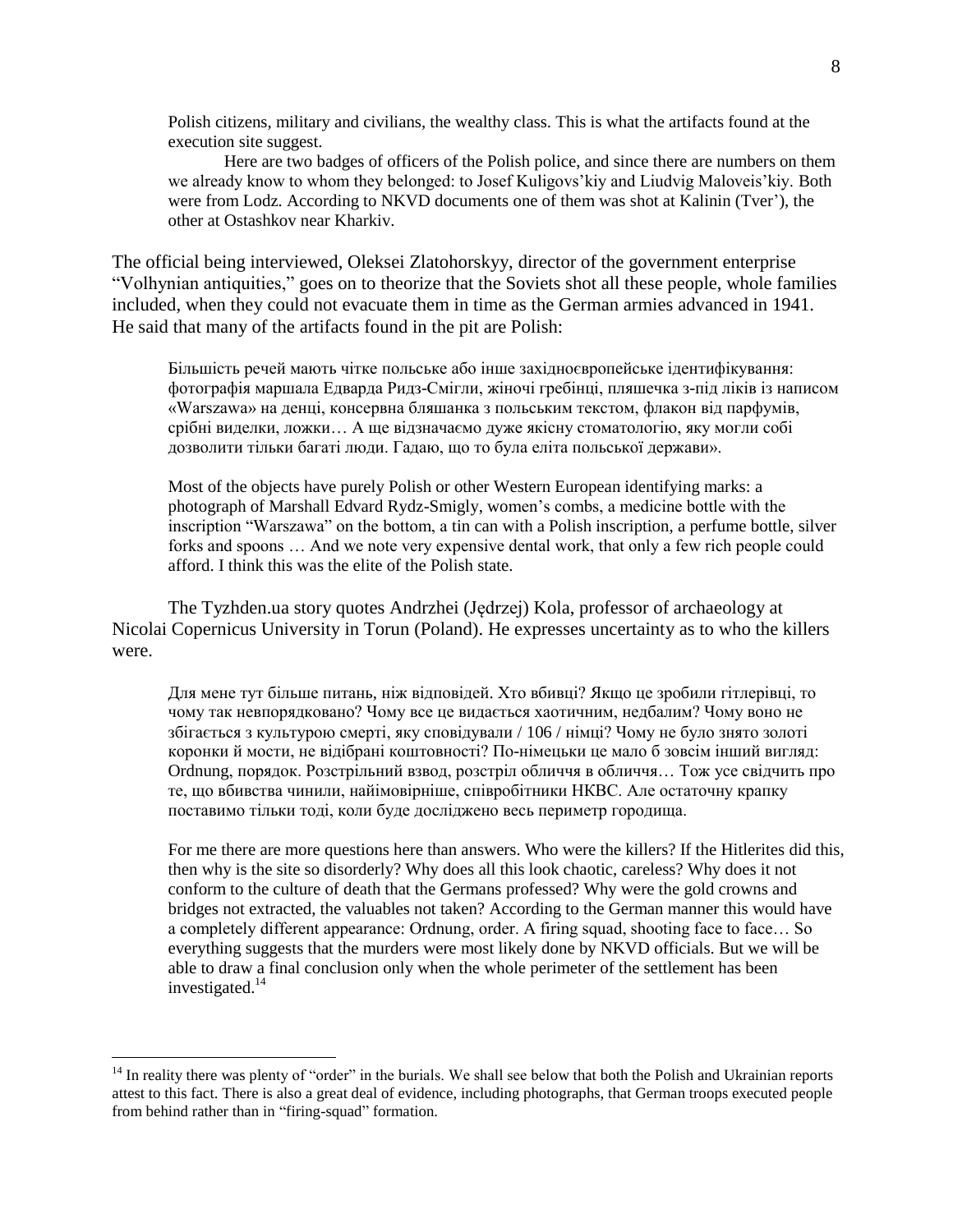Polish citizens, military and civilians, the wealthy class. This is what the artifacts found at the execution site suggest.

Here are two badges of officers of the Polish police, and since there are numbers on them we already know to whom they belonged: to Josef Kuligovs'kiy and Liudvig Maloveis'kiy. Both were from Lodz. According to NKVD documents one of them was shot at Kalinin (Tver'), the other at Ostashkov near Kharkiv.

The official being interviewed, Oleksei Zlatohorskyy, director of the government enterprise ―Volhynian antiquities,‖ goes on to theorize that the Soviets shot all these people, whole families included, when they could not evacuate them in time as the German armies advanced in 1941. He said that many of the artifacts found in the pit are Polish:

Більшість речей мають чітке польське або інше західноєвропейське ідентифікування: фотографія маршала Едварда Ридз-Смігли, жіночі гребінці, пляшечка з-під ліків із написом «Warszawa» на денці, консервна бляшанка з польським текстом, флакон від парфумів, срібні виделки, ложки… А ще відзначаємо дуже якісну стоматологію, яку могли собі дозволити тільки багаті люди. Гадаю, що то була еліта польської держави».

Most of the objects have purely Polish or other Western European identifying marks: a photograph of Marshall Edvard Rydz-Smigly, women's combs, a medicine bottle with the inscription "Warszawa" on the bottom, a tin can with a Polish inscription, a perfume bottle, silver forks and spoons … And we note very expensive dental work, that only a few rich people could afford. I think this was the elite of the Polish state.

The Tyzhden.ua story quotes Andrzhei (Jędrzej) Kola, professor of archaeology at Nicolai Copernicus University in Torun (Poland). He expresses uncertainty as to who the killers were.

Для мене тут більше питань, ніж відповідей. Хто вбивці? Якщо це зробили гітлерівці, то чому так невпорядковано? Чому все це видається хаотичним, недбалим? Чому воно не збігається з культурою смерті, яку сповідували / 106 / німці? Чому не було знято золоті коронки й мости, не відібрані коштовності? По-німецьки це мало б зовсім інший вигляд: Ordnung, порядок. Розстрільний взвод, розстріл обличчя в обличчя… Тож усе свідчить про те, що вбивства чинили, найімовірніше, співробітники НКВС. Але остаточну крапку поставимо тільки тоді, коли буде досліджено весь периметр городища.

For me there are more questions here than answers. Who were the killers? If the Hitlerites did this, then why is the site so disorderly? Why does all this look chaotic, careless? Why does it not conform to the culture of death that the Germans professed? Why were the gold crowns and bridges not extracted, the valuables not taken? According to the German manner this would have a completely different appearance: Ordnung, order. A firing squad, shooting face to face… So everything suggests that the murders were most likely done by NKVD officials. But we will be able to draw a final conclusion only when the whole perimeter of the settlement has been investigated. $14$ 

 $14$  In reality there was plenty of "order" in the burials. We shall see below that both the Polish and Ukrainian reports attest to this fact. There is also a great deal of evidence, including photographs, that German troops executed people from behind rather than in "firing-squad" formation.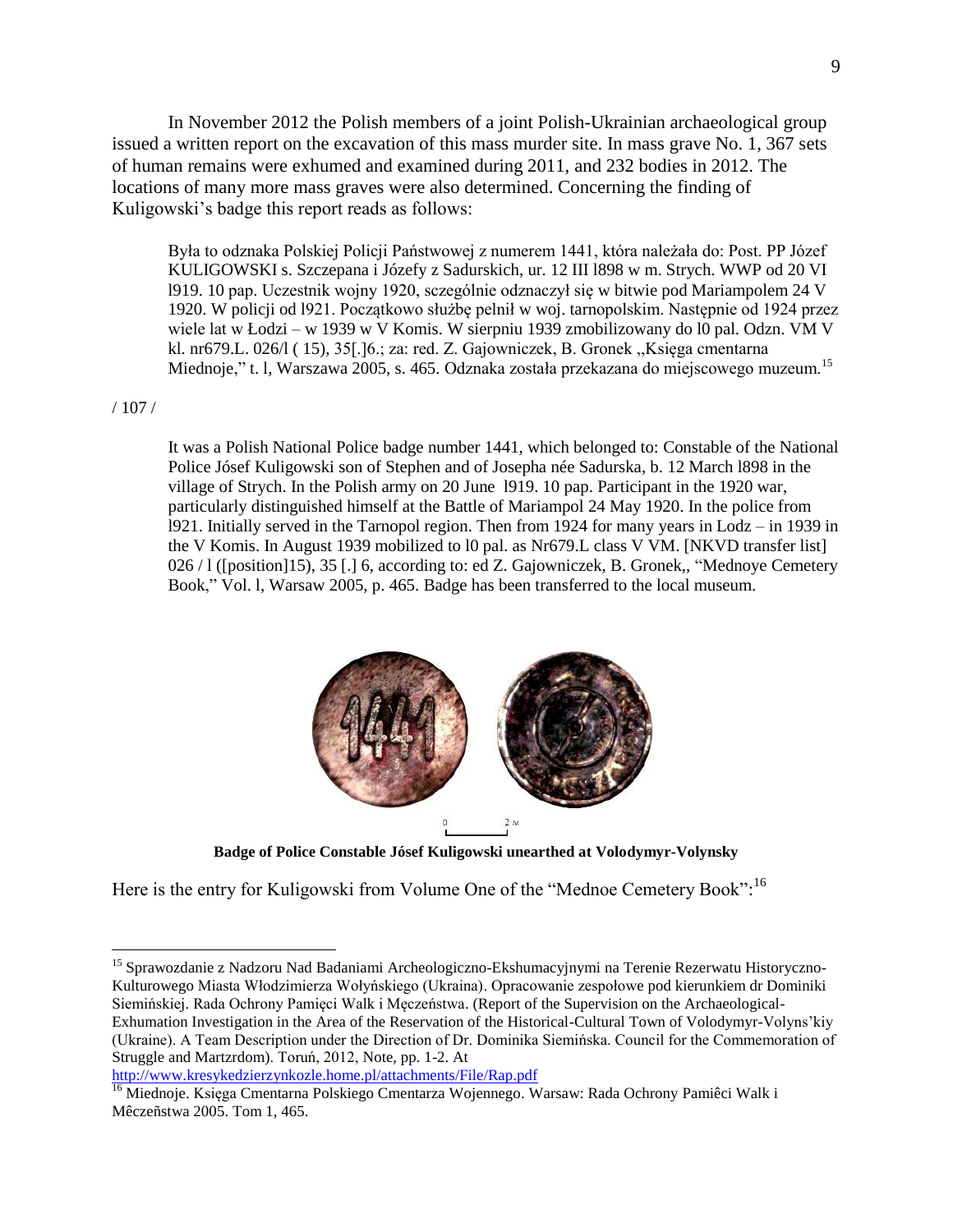In November 2012 the Polish members of a joint Polish-Ukrainian archaeological group issued a written report on the excavation of this mass murder site. In mass grave No. 1, 367 sets of human remains were exhumed and examined during 2011, and 232 bodies in 2012. The locations of many more mass graves were also determined. Concerning the finding of Kuligowski's badge this report reads as follows:

Była to odznaka Polskiej Policji Państwowej z numerem 1441, która należała do: Post. PP Józef KULIGOWSKI s. Szczepana i Józefy z Sadurskich, ur. 12 III l898 w m. Strych. WWP od 20 VI l919. 10 pap. Uczestnik wojny 1920, sczególnie odznaczył się w bitwie pod Mariampolem 24 V 1920. W policji od l921. Początkowo służbę pelnił w woj. tarnopolskim. Następnie od 1924 przez wiele lat w Łodzi – w 1939 w V Komis. W sierpniu 1939 zmobilizowany do l0 pal. Odzn. VM V kl. nr679.L. 026/l ( 15), 35[.]6.; za: red. Z. Gajowniczek, B. Gronek ,,Księga cmentarna Miednoje," t. l, Warszawa 2005, s. 465. Odznaka została przekazana do miejscowego muzeum.<sup>15</sup>

#### / 107 /

 $\overline{a}$ 

It was a Polish National Police badge number 1441, which belonged to: Constable of the National Police Jósef Kuligowski son of Stephen and of Josepha née Sadurska, b. 12 March l898 in the village of Strych. In the Polish army on 20 June l919. 10 pap. Participant in the 1920 war, particularly distinguished himself at the Battle of Mariampol 24 May 1920. In the police from l921. Initially served in the Tarnopol region. Then from 1924 for many years in Lodz – in 1939 in the V Komis. In August 1939 mobilized to l0 pal. as Nr679.L class V VM. [NKVD transfer list] 026 / 1 ([position]15), 35 [.] 6, according to: ed Z. Gajowniczek, B. Gronek,, "Mednoye Cemetery Book," Vol. 1, Warsaw 2005, p. 465. Badge has been transferred to the local museum.



**Badge of Police Constable Jósef Kuligowski unearthed at Volodymyr-Volynsky**

Here is the entry for Kuligowski from Volume One of the "Mednoe Cemetery Book":<sup>16</sup>

<sup>15</sup> Sprawozdanie z Nadzoru Nad Badaniami Archeologiczno-Ekshumacyjnymi na Terenie Rezerwatu Historyczno-Kulturowego Miasta Włodzimierza Wołyńskiego (Ukraina). Opracowanie zespołowe pod kierunkiem dr Dominiki Siemińskiej. Rada Ochrony Pamięci Walk i Męczeństwa. (Report of the Supervision on the Archaeological-Exhumation Investigation in the Area of the Reservation of the Historical-Cultural Town of Volodymyr-Volyns'kiy (Ukraine). A Team Description under the Direction of Dr. Dominika Siemińska. Council for the Commemoration of Struggle and Martzrdom). Toruń, 2012, Note, pp. 1-2. At

<http://www.kresykedzierzynkozle.home.pl/attachments/File/Rap.pdf>

<sup>&</sup>lt;sup>16</sup> Miednoje. Księga Cmentarna Polskiego Cmentarza Wojennego. Warsaw: Rada Ochrony Pamiêci Walk i Mêczeñstwa 2005. Tom 1, 465.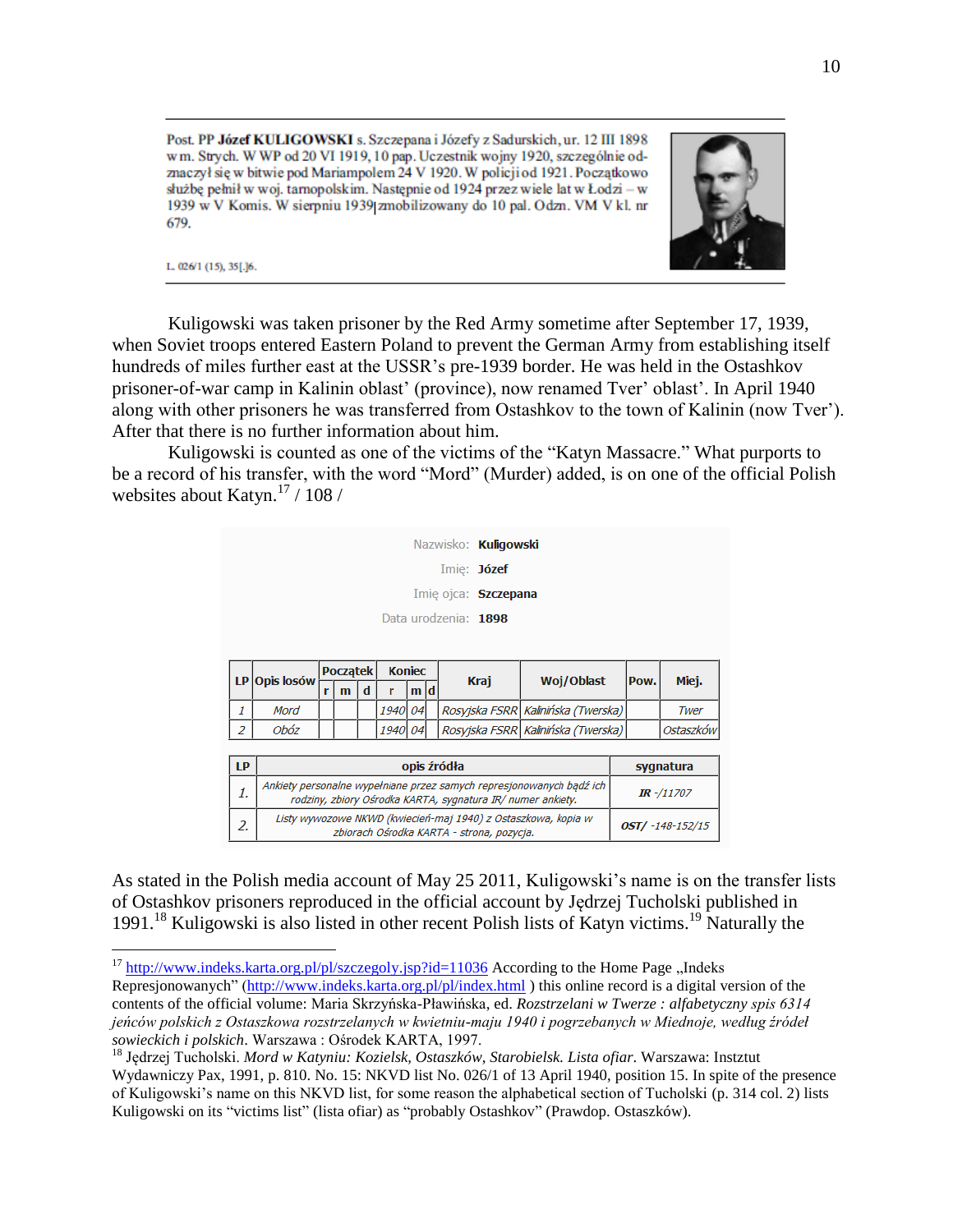Post, PP Józef KULIGOWSKI s. Szczepana i Józefy z Sadurskich, ur. 12 III 1898 wm. Strych. W WP od 20 VI 1919, 10 pap. Uczestnik wojny 1920, szczególnie odznaczył się w bitwie pod Mariampolem 24 V 1920. W policji od 1921. Początkowo służbę pełnił w woj. tarnopolskim. Następnie od 1924 przez wiele lat w Łodzi – w 1939 w V Komis. W sierpniu 1939 zmobilizowany do 10 pal. Odzn. VM V kl. nr 679.



L. 026/1 (15), 35[.]6.

 $\overline{a}$ 

Kuligowski was taken prisoner by the Red Army sometime after September 17, 1939, when Soviet troops entered Eastern Poland to prevent the German Army from establishing itself hundreds of miles further east at the USSR's pre-1939 border. He was held in the Ostashkov prisoner-of-war camp in Kalinin oblast' (province), now renamed Tver' oblast'. In April 1940 along with other prisoners he was transferred from Ostashkov to the town of Kalinin (now Tver'). After that there is no further information about him.

Kuligowski is counted as one of the victims of the "Katyn Massacre." What purports to be a record of his transfer, with the word "Mord" (Murder) added, is on one of the official Polish websites about Katyn.<sup>17</sup> / 108 /

|              |                   |   |                 |    |         |               |  | Nazwisko: <b>Kuligowski</b><br>Imie: Józef<br>Imie ojca: Szczepana |                                    |  |      |           |
|--------------|-------------------|---|-----------------|----|---------|---------------|--|--------------------------------------------------------------------|------------------------------------|--|------|-----------|
|              |                   |   |                 |    |         |               |  | Data urodzenia: 1898                                               |                                    |  |      |           |
| LP           | <b>Opis losów</b> |   | <b>Początek</b> |    |         | <b>Koniec</b> |  | <b>Kraj</b>                                                        | Woj/Oblast                         |  | Pow. | Miej.     |
|              |                   | r | m               | Ιd | r       | m d           |  |                                                                    |                                    |  |      |           |
| $\mathbf{I}$ | Mord              |   |                 |    | 1940 04 |               |  |                                                                    | Rosyjska FSRR Kalinińska (Twerska) |  |      | Twer      |
| 2            | Obóz              |   |                 |    | 1940 04 |               |  |                                                                    | Rosyjska FSRR Kalinińska (Twerska) |  |      | Ostaszków |
|              |                   |   |                 |    |         |               |  |                                                                    |                                    |  |      |           |
| LP           |                   |   |                 |    |         |               |  | opis źródła                                                        |                                    |  |      | sygnatura |

| $\mathbf{I}$ | opis źródła                                                                                                                        | sygnatura         |
|--------------|------------------------------------------------------------------------------------------------------------------------------------|-------------------|
| I.           | Ankiety personalne wypełniane przez samych represjonowanych bądź ich<br>rodziny, zbiory Ośrodka KARTA, sygnatura IR/numer ankiety. | $IR - /11707$     |
|              | Listy wywozowe NKWD (kwiecień-maj 1940) z Ostaszkowa, kopia w<br>zbiorach Ośrodka KARTA - strona, pozycja.                         | $OST/-148-152/15$ |

As stated in the Polish media account of May 25 2011, Kuligowski's name is on the transfer lists of Ostashkov prisoners reproduced in the official account by Jędrzej Tucholski published in 1991.<sup>18</sup> Kuligowski is also listed in other recent Polish lists of Katyn victims.<sup>19</sup> Naturally the

 $17 \text{ http://www.indeks.karta.org.pl/pl/szczegoly.jsp?id=11036 According to the Home Page, Indeks.$  $17 \text{ http://www.indeks.karta.org.pl/pl/szczegoly.jsp?id=11036 According to the Home Page, Indeks.$  $17 \text{ http://www.indeks.karta.org.pl/pl/szczegoly.jsp?id=11036 According to the Home Page, Indeks.$ 

Represjonowanych" [\(http://www.indeks.karta.org.pl/pl/index.html](http://www.indeks.karta.org.pl/pl/index.html)) this online record is a digital version of the contents of the official volume: Maria Skrzyńska-Pławińska, ed. *Rozstrzelani w Twerze : alfabetyczny spis*  jeńców polskich z Ostaszkowa rozstrzelanych w kwietniu-maju 1940 i pogrzebanych w Miednoje, według źródeł sowieckich i polskich. Warszawa: Ośrodek KARTA, 1997.

<sup>18</sup> Jędrzej Tucholski. *Mord w Katyniu: Kozielsk, Ostaszków, Starobielsk. Lista ofiar*. Warszawa: Instztut Wydawniczy Pax, 1991, p. 810. No. 15: NKVD list No. 026/1 of 13 April 1940, position 15. In spite of the presence of Kuligowski's name on this NKVD list, for some reason the alphabetical section of Tucholski (p. 314 col. 2) lists Kuligowski on its "victims list" (lista ofiar) as "probably Ostashkov" (Prawdop. Ostaszków).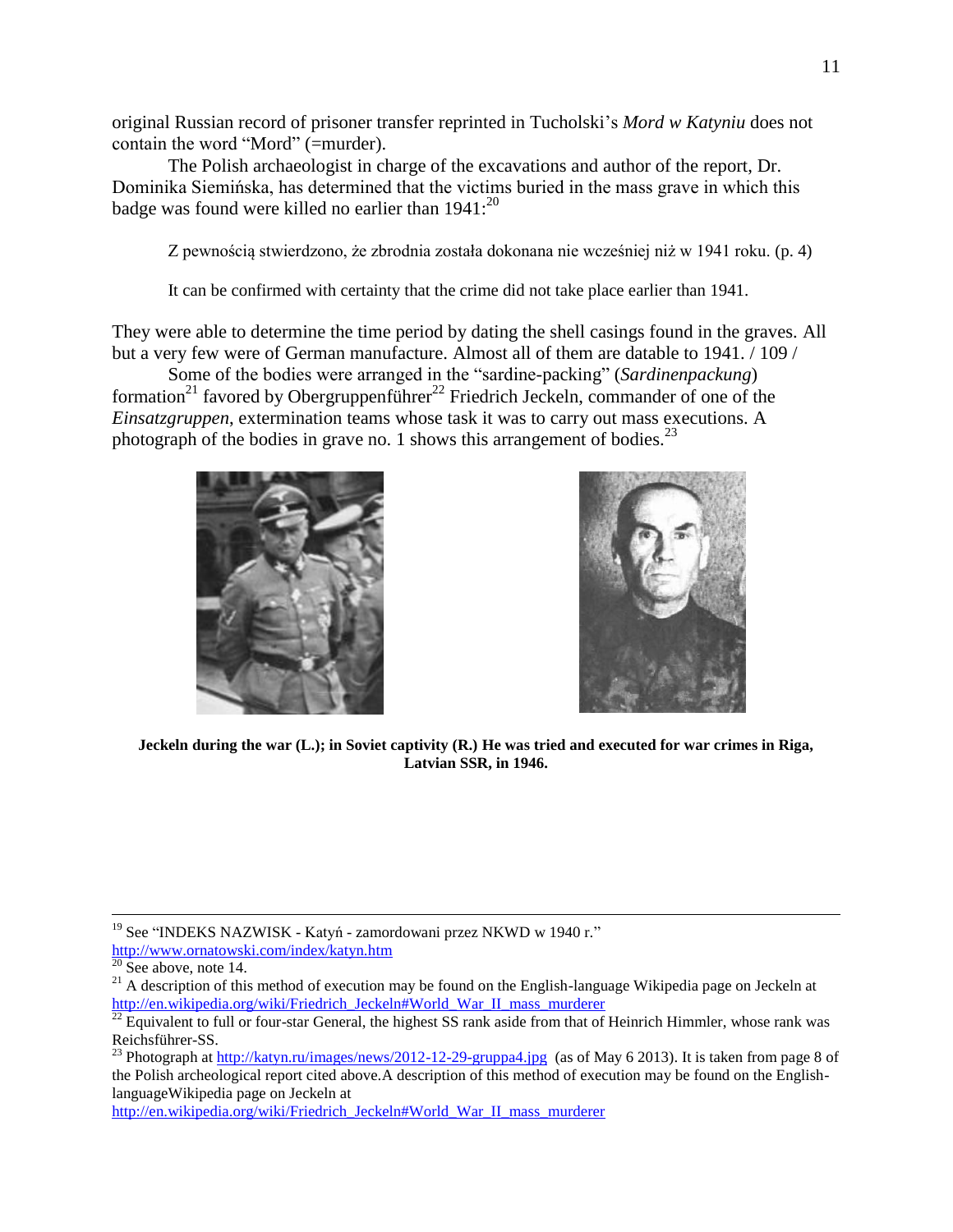original Russian record of prisoner transfer reprinted in Tucholski's *Mord w Katyniu* does not contain the word "Mord" (=murder).

The Polish archaeologist in charge of the excavations and author of the report, Dr. Dominika Siemińska, has determined that the victims buried in the mass grave in which this badge was found were killed no earlier than  $1941$ :<sup>20</sup>

Z pewnością stwierdzono, że zbrodnia została dokonana nie wcześniej niż w 1941 roku. (p. 4)

It can be confirmed with certainty that the crime did not take place earlier than 1941.

They were able to determine the time period by dating the shell casings found in the graves. All but a very few were of German manufacture. Almost all of them are datable to 1941. / 109 /

Some of the bodies were arranged in the "sardine-packing" (*Sardinenpackung*) formation<sup>21</sup> favored by Obergruppenführer<sup>22</sup> Friedrich Jeckeln, commander of one of the *Einsatzgruppen*, extermination teams whose task it was to carry out mass executions. A photograph of the bodies in grave no. 1 shows this arrangement of bodies.<sup>23</sup>





**Jeckeln during the war (L.); in Soviet captivity (R.) He was tried and executed for war crimes in Riga, Latvian SSR, in 1946.**

 $19$  See "INDEKS NAZWISK - Katyń - zamordowani przez NKWD w 1940 r."

<http://www.ornatowski.com/index/katyn.htm>

 $20$  See above, note 14.

 $\overline{a}$ 

<sup>21</sup> A description of this method of execution may be found on the English-language Wikipedia page on Jeckeln at [http://en.wikipedia.org/wiki/Friedrich\\_Jeckeln#World\\_War\\_II\\_mass\\_murderer](http://en.wikipedia.org/wiki/Friedrich_Jeckeln#World_War_II_mass_murderer)

<sup>23</sup> Photograph at<http://katyn.ru/images/news/2012-12-29-gruppa4.jpg>(as of May 6 2013). It is taken from page 8 of the Polish archeological report cited above.A description of this method of execution may be found on the EnglishlanguageWikipedia page on Jeckeln at

[http://en.wikipedia.org/wiki/Friedrich\\_Jeckeln#World\\_War\\_II\\_mass\\_murderer](http://en.wikipedia.org/wiki/Friedrich_Jeckeln#World_War_II_mass_murderer)

 $^{22}$  Equivalent to full or four-star General, the highest SS rank aside from that of Heinrich Himmler, whose rank was Reichsführer-SS.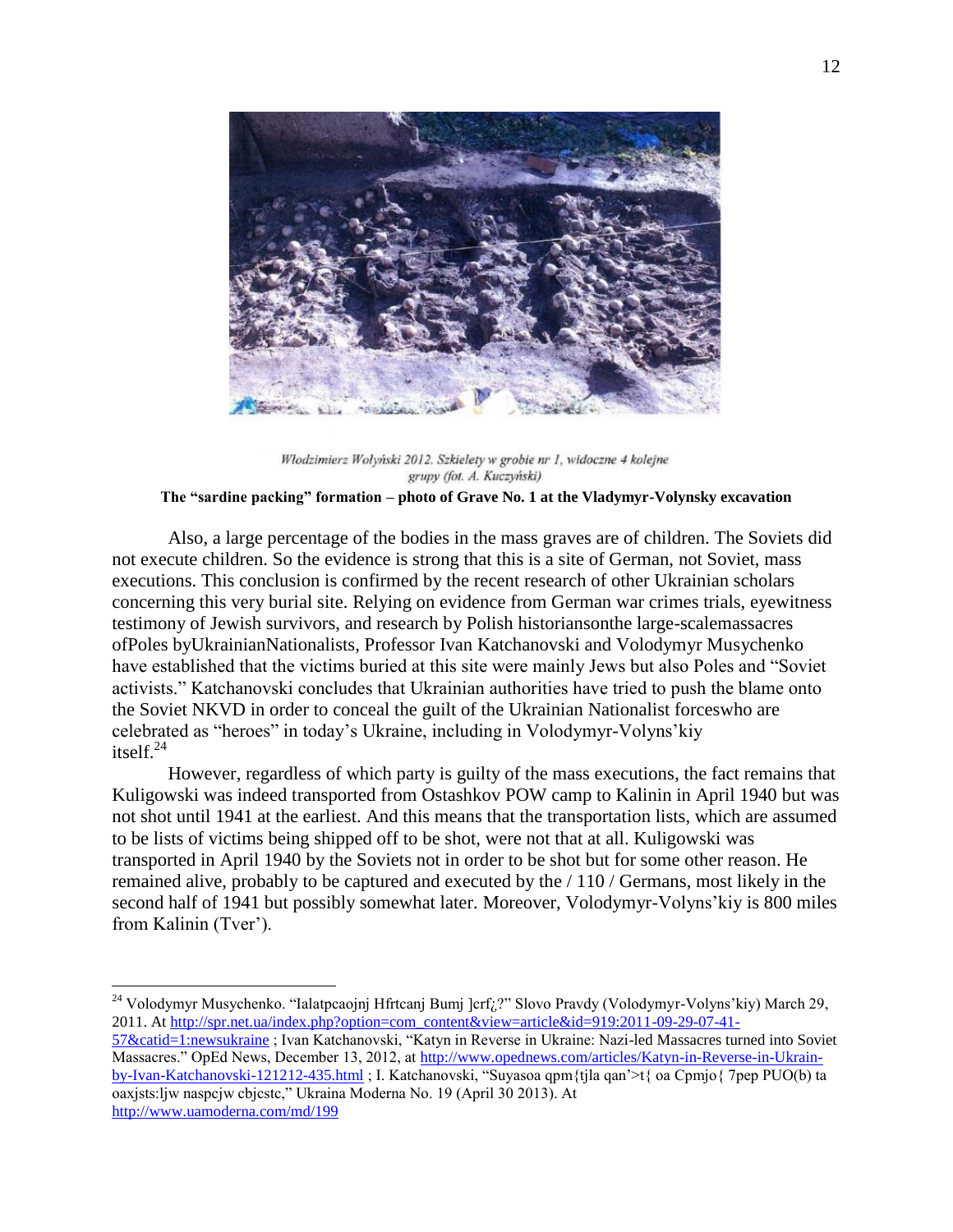

Włodzimierz Wołyński 2012. Szkielety w grobie nr 1, widoczne 4 kolejne grupy (fot. A. Kuczyński)

#### **The "sardine packing" formation – photo of Grave No. 1 at the Vladymyr-Volynsky excavation**

Also, a large percentage of the bodies in the mass graves are of children. The Soviets did not execute children. So the evidence is strong that this is a site of German, not Soviet, mass executions. This conclusion is confirmed by the recent research of other Ukrainian scholars concerning this very burial site. Relying on evidence from German war crimes trials, eyewitness testimony of Jewish survivors, and research by Polish historiansonthe large-scalemassacres ofPoles byUkrainianNationalists, Professor Ivan Katchanovski and Volodymyr Musychenko have established that the victims buried at this site were mainly Jews but also Poles and "Soviet" activists." Katchanovski concludes that Ukrainian authorities have tried to push the blame onto the Soviet NKVD in order to conceal the guilt of the Ukrainian Nationalist forceswho are celebrated as "heroes" in today's Ukraine, including in Volodymyr-Volyns' kiy itself. $^{24}$ 

However, regardless of which party is guilty of the mass executions, the fact remains that Kuligowski was indeed transported from Ostashkov POW camp to Kalinin in April 1940 but was not shot until 1941 at the earliest. And this means that the transportation lists, which are assumed to be lists of victims being shipped off to be shot, were not that at all. Kuligowski was transported in April 1940 by the Soviets not in order to be shot but for some other reason. He remained alive, probably to be captured and executed by the / 110 / Germans, most likely in the second half of 1941 but possibly somewhat later. Moreover, Volodymyr-Volyns'kiy is 800 miles from Kalinin (Tver').

<sup>&</sup>lt;sup>24</sup> Volodymyr Musychenko. "Ialatpcaojnj Hfrtcanj Bumj ]crf $\zeta$ ?" Slovo Pravdy (Volodymyr-Volyns'kiy) March 29, 2011. At [http://spr.net.ua/index.php?option=com\\_content&view=article&id=919:2011-09-29-07-41-](http://spr.net.ua/index.php?option=com_content&view=article&id=919:2011-09-29-07-41-57&catid=1:newsukraine)

[<sup>57&</sup>amp;catid=1:newsukraine](http://spr.net.ua/index.php?option=com_content&view=article&id=919:2011-09-29-07-41-57&catid=1:newsukraine) ; Ivan Katchanovski, "Katyn in Reverse in Ukraine: Nazi-led Massacres turned into Soviet Massacres.‖ OpEd News, December 13, 2012, at [http://www.opednews.com/articles/Katyn-in-Reverse-in-Ukrain](http://www.opednews.com/articles/Katyn-in-Reverse-in-Ukrain-by-Ivan-Katchanovski-121212-435.html)[by-Ivan-Katchanovski-121212-435.html](http://www.opednews.com/articles/Katyn-in-Reverse-in-Ukrain-by-Ivan-Katchanovski-121212-435.html) ; I. Katchanovski, "Suyasoa qpm{tjla qan'>t{ oa Cpmjo{ 7pep PUO(b) ta oaxjsts:ljw naspcjw cbjcstc," Ukraina Moderna No. 19 (April 30 2013). At <http://www.uamoderna.com/md/199>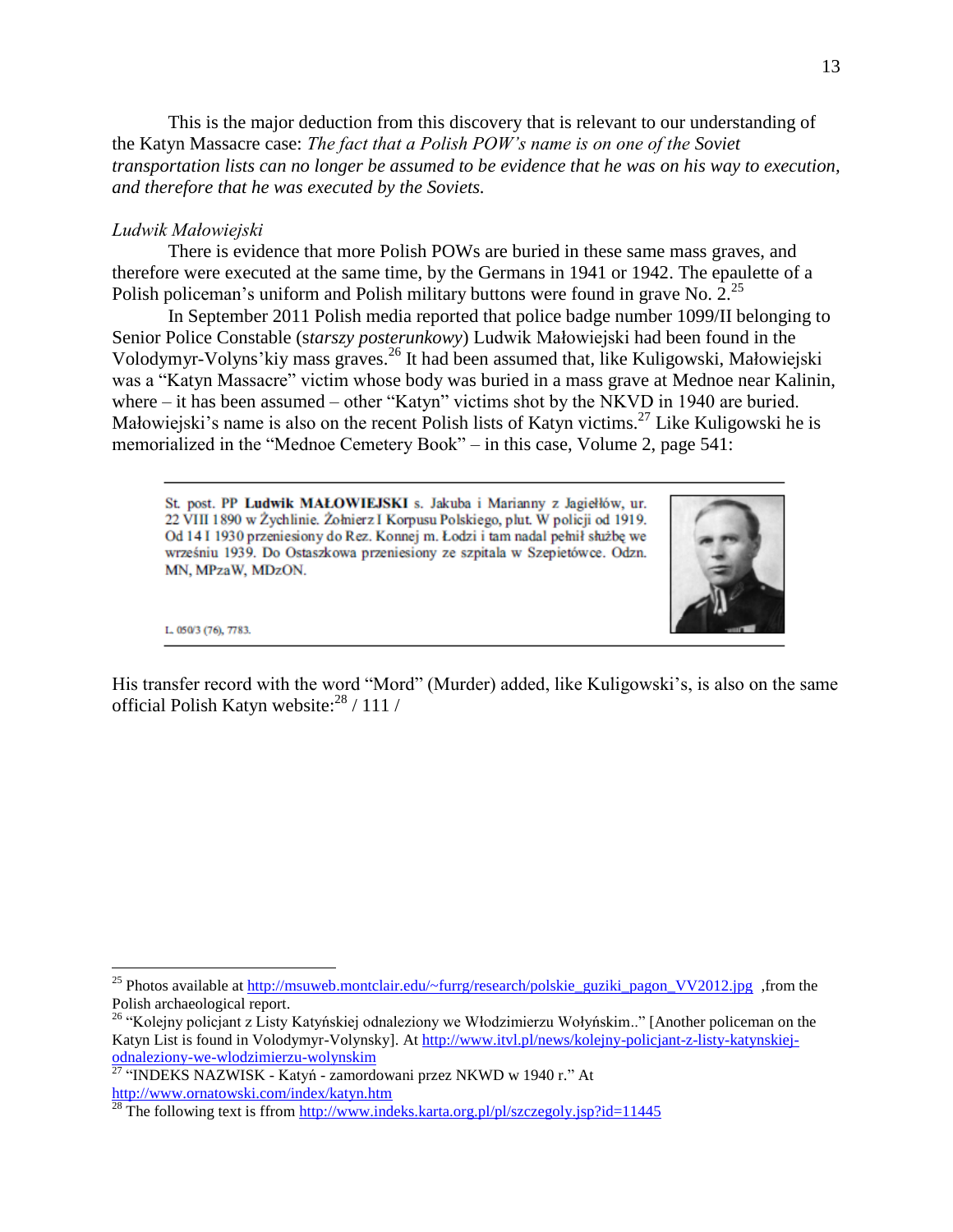This is the major deduction from this discovery that is relevant to our understanding of the Katyn Massacre case: *The fact that a Polish POW's name is on one of the Soviet transportation lists can no longer be assumed to be evidence that he was on his way to execution, and therefore that he was executed by the Soviets.*

### *Ludwik Małowiejski*

There is evidence that more Polish POWs are buried in these same mass graves, and therefore were executed at the same time, by the Germans in 1941 or 1942. The epaulette of a Polish policeman's uniform and Polish military buttons were found in grave No.  $2^{25}$ 

In September 2011 Polish media reported that police badge number 1099/II belonging to Senior Police Constable (s*tarszy posterunkowy*) Ludwik Małowiejski had been found in the Volodymyr-Volyns'kiy mass graves.<sup>26</sup> It had been assumed that, like Kuligowski, Małowiejski was a "Katyn Massacre" victim whose body was buried in a mass grave at Mednoe near Kalinin, where  $-$  it has been assumed  $-$  other "Katyn" victims shot by the NKVD in 1940 are buried. Małowiejski's name is also on the recent Polish lists of Katyn victims.<sup>27</sup> Like Kuligowski he is memorialized in the "Mednoe Cemetery Book" – in this case, Volume 2, page 541:

St. post. PP Ludwik MAŁOWIEJSKI s. Jakuba i Marianny z Jagiełłów, ur. 22 VIII 1890 w Żychlinie. Żołnierz I Korpusu Polskiego, plut. W policji od 1919. Od 14 I 1930 przeniesiony do Rez. Konnej m. Łodzi i tam nadal pełnił służbę we wrześniu 1939. Do Ostaszkowa przeniesiony ze szpitala w Szepietówce. Odzn. MN, MPzaW, MDzON.



L. 050/3 (76), 7783.

 $\overline{a}$ 

His transfer record with the word "Mord" (Murder) added, like Kuligowski's, is also on the same official Polish Katyn website:<sup>28</sup> / 111 /

<sup>27</sup> "INDEKS NAZWISK - Katyń - zamordowani przez NKWD w 1940 r." At <http://www.ornatowski.com/index/katyn.htm>

<sup>&</sup>lt;sup>25</sup> Photos available at [http://msuweb.montclair.edu/~furrg/research/polskie\\_guziki\\_pagon\\_VV2012.jpg](http://msuweb.montclair.edu/~furrg/research/polskie_guziki_pagon_VV2012.jpg) ,from the Polish archaeological report.

<sup>&</sup>lt;sup>26</sup> "Kolejny policjant z Listy Katyńskiej odnaleziony we Włodzimierzu Wołyńskim.." [Another policeman on the Katyn List is found in Volodymyr-Volynsky]. At [http://www.itvl.pl/news/kolejny-policjant-z-listy-katynskiej](http://www.itvl.pl/news/kolejny-policjant-z-listy-katynskiej-odnaleziony-we-wlodzimierzu-wolynskim)[odnaleziony-we-wlodzimierzu-wolynskim](http://www.itvl.pl/news/kolejny-policjant-z-listy-katynskiej-odnaleziony-we-wlodzimierzu-wolynskim)

<sup>&</sup>lt;sup>28</sup> The following text is ffrom  $\frac{http://www.indeks.karta.org.pl/pl/szczegoly.jsp?id=11445$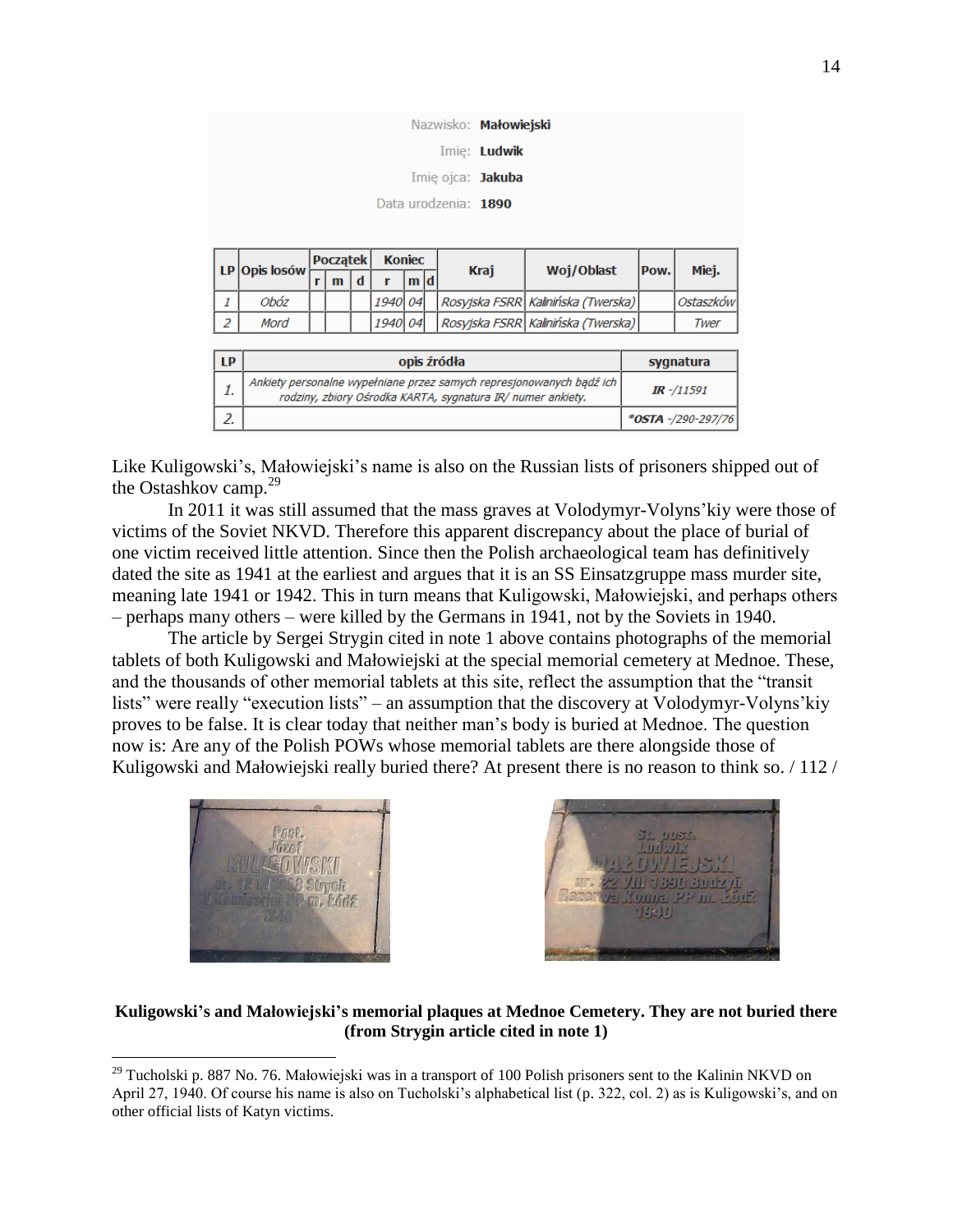|                 |               |   |               |   |         |      |  | Nazwisko: <b>Małowiejski</b>                               |                                                                      |      |                           |
|-----------------|---------------|---|---------------|---|---------|------|--|------------------------------------------------------------|----------------------------------------------------------------------|------|---------------------------|
|                 |               |   |               |   |         |      |  | Imie: Ludwik                                               |                                                                      |      |                           |
|                 |               |   |               |   |         |      |  | Imie ojca: Jakuba                                          |                                                                      |      |                           |
|                 |               |   |               |   |         |      |  | Data urodzenia: 1890                                       |                                                                      |      |                           |
|                 |               |   |               |   |         |      |  |                                                            |                                                                      |      |                           |
| <b>Początek</b> |               |   | <b>Koniec</b> |   |         |      |  |                                                            |                                                                      |      |                           |
|                 | LP Opis losów | г | m             | d | r       | m Id |  | <b>Kraj</b>                                                | Woj/Oblast                                                           | Pow. | Miej.                     |
| 1               | Obóz          |   |               |   | 1940    | 04   |  |                                                            | Rosyjska FSRR Kalinińska (Twerska)                                   |      | Ostaszków                 |
| 2               | Mord          |   |               |   | 1940 04 |      |  |                                                            | Rosyjska FSRR Kalinińska (Twerska)                                   |      | Twer                      |
|                 |               |   |               |   |         |      |  |                                                            |                                                                      |      |                           |
| <b>LP</b>       |               |   |               |   |         |      |  | opis źródła                                                |                                                                      |      | sygnatura                 |
| 1.              |               |   |               |   |         |      |  | rodziny, zbiory Ośrodka KARTA, sygnatura IR/numer ankiety. | Ankiety personalne wypełniane przez samych represjonowanych bądź ich |      | $IR - /11591$             |
| 2.              |               |   |               |   |         |      |  |                                                            |                                                                      |      | <b>*OSTA</b> -/290-297/76 |

Like Kuligowski's, Małowiejski's name is also on the Russian lists of prisoners shipped out of the Ostashkov camp.<sup>29</sup>

In 2011 it was still assumed that the mass graves at Volodymyr-Volyns'kiy were those of victims of the Soviet NKVD. Therefore this apparent discrepancy about the place of burial of one victim received little attention. Since then the Polish archaeological team has definitively dated the site as 1941 at the earliest and argues that it is an SS Einsatzgruppe mass murder site, meaning late 1941 or 1942. This in turn means that Kuligowski, Małowiejski, and perhaps others – perhaps many others – were killed by the Germans in 1941, not by the Soviets in 1940.

The article by Sergei Strygin cited in note 1 above contains photographs of the memorial tablets of both Kuligowski and Małowiejski at the special memorial cemetery at Mednoe. These, and the thousands of other memorial tablets at this site, reflect the assumption that the "transit" lists" were really "execution lists" – an assumption that the discovery at Volodymyr-Volyns' kiy proves to be false. It is clear today that neither man's body is buried at Mednoe. The question now is: Are any of the Polish POWs whose memorial tablets are there alongside those of Kuligowski and Małowiejski really buried there? At present there is no reason to think so. / 112 /



 $\overline{a}$ 



# **Kuligowski's and Małowiejski's memorial plaques at Mednoe Cemetery. They are not buried there (from Strygin article cited in note 1)**

 $^{29}$  Tucholski p. 887 No. 76. Małowiejski was in a transport of 100 Polish prisoners sent to the Kalinin NKVD on April 27, 1940. Of course his name is also on Tucholski's alphabetical list (p. 322, col. 2) as is Kuligowski's, and on other official lists of Katyn victims.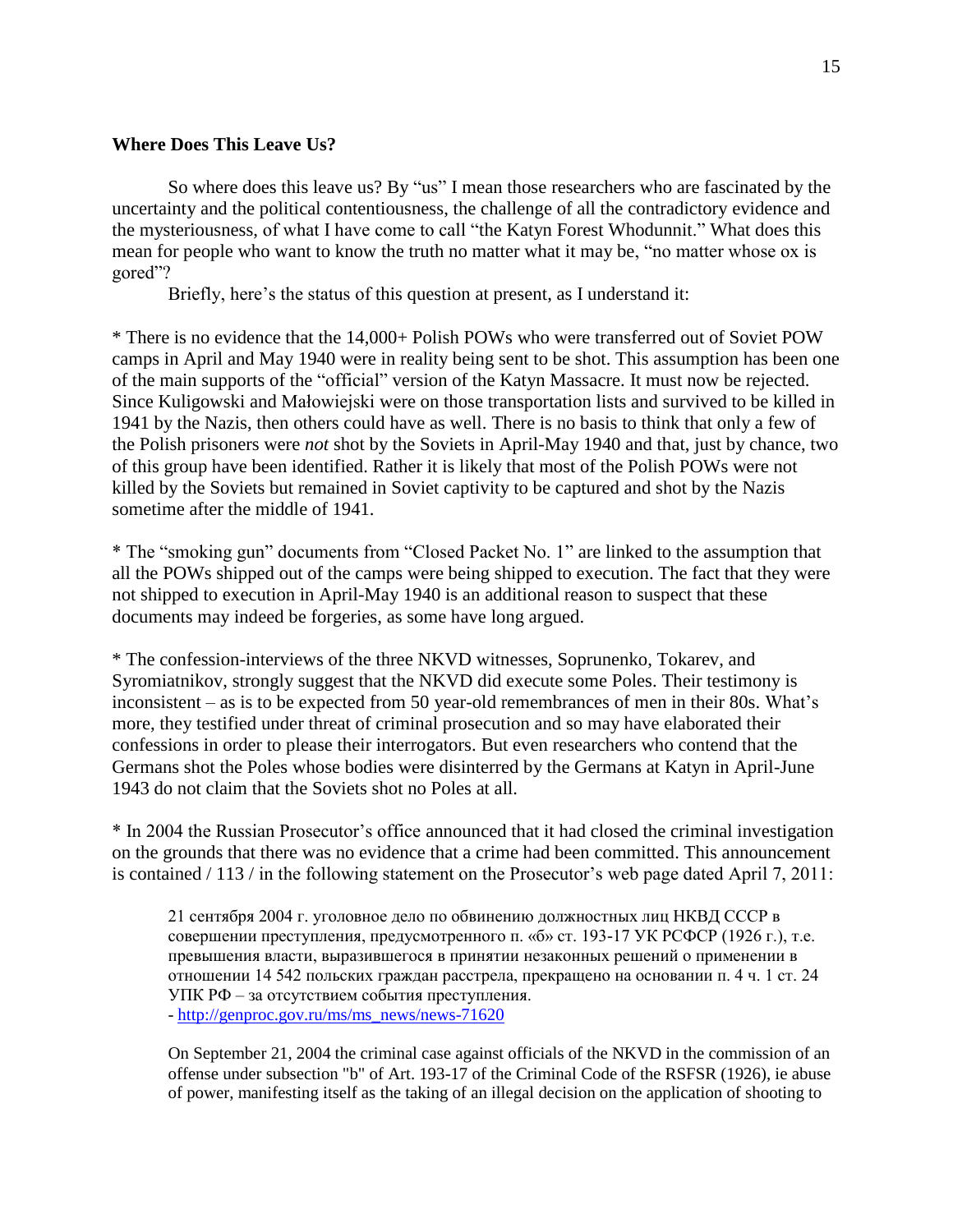# **Where Does This Leave Us?**

So where does this leave us? By "us" I mean those researchers who are fascinated by the uncertainty and the political contentiousness, the challenge of all the contradictory evidence and the mysteriousness, of what I have come to call "the Katyn Forest Whodunnit." What does this mean for people who want to know the truth no matter what it may be, "no matter whose ox is gored"?

Briefly, here's the status of this question at present, as I understand it:

\* There is no evidence that the 14,000+ Polish POWs who were transferred out of Soviet POW camps in April and May 1940 were in reality being sent to be shot. This assumption has been one of the main supports of the "official" version of the Katyn Massacre. It must now be rejected. Since Kuligowski and Małowiejski were on those transportation lists and survived to be killed in 1941 by the Nazis, then others could have as well. There is no basis to think that only a few of the Polish prisoners were *not* shot by the Soviets in April-May 1940 and that, just by chance, two of this group have been identified. Rather it is likely that most of the Polish POWs were not killed by the Soviets but remained in Soviet captivity to be captured and shot by the Nazis sometime after the middle of 1941.

\* The "smoking gun" documents from "Closed Packet No. 1" are linked to the assumption that all the POWs shipped out of the camps were being shipped to execution. The fact that they were not shipped to execution in April-May 1940 is an additional reason to suspect that these documents may indeed be forgeries, as some have long argued.

\* The confession-interviews of the three NKVD witnesses, Soprunenko, Tokarev, and Syromiatnikov, strongly suggest that the NKVD did execute some Poles. Their testimony is inconsistent – as is to be expected from 50 year-old remembrances of men in their 80s. What's more, they testified under threat of criminal prosecution and so may have elaborated their confessions in order to please their interrogators. But even researchers who contend that the Germans shot the Poles whose bodies were disinterred by the Germans at Katyn in April-June 1943 do not claim that the Soviets shot no Poles at all.

\* In 2004 the Russian Prosecutor's office announced that it had closed the criminal investigation on the grounds that there was no evidence that a crime had been committed. This announcement is contained / 113 / in the following statement on the Prosecutor's web page dated April 7, 2011:

21 сентября 2004 г. уголовное дело по обвинению должностных лиц НКВД СССР в совершении преступления, предусмотренного п. «б» ст. 193-17 УК РСФСР (1926 г.), т.е. превышения власти, выразившегося в принятии незаконных решений о применении в отношении 14 542 польских граждан расстрела, прекращено на основании п. 4 ч. 1 ст. 24 УПК РФ – за отсутствием события преступления. - [http://genproc.gov.ru/ms/ms\\_news/news-71620](http://genproc.gov.ru/ms/ms_news/news-71620)

On September 21, 2004 the criminal case against officials of the NKVD in the commission of an offense under subsection "b" of Art. 193-17 of the Criminal Code of the RSFSR (1926), ie abuse of power, manifesting itself as the taking of an illegal decision on the application of shooting to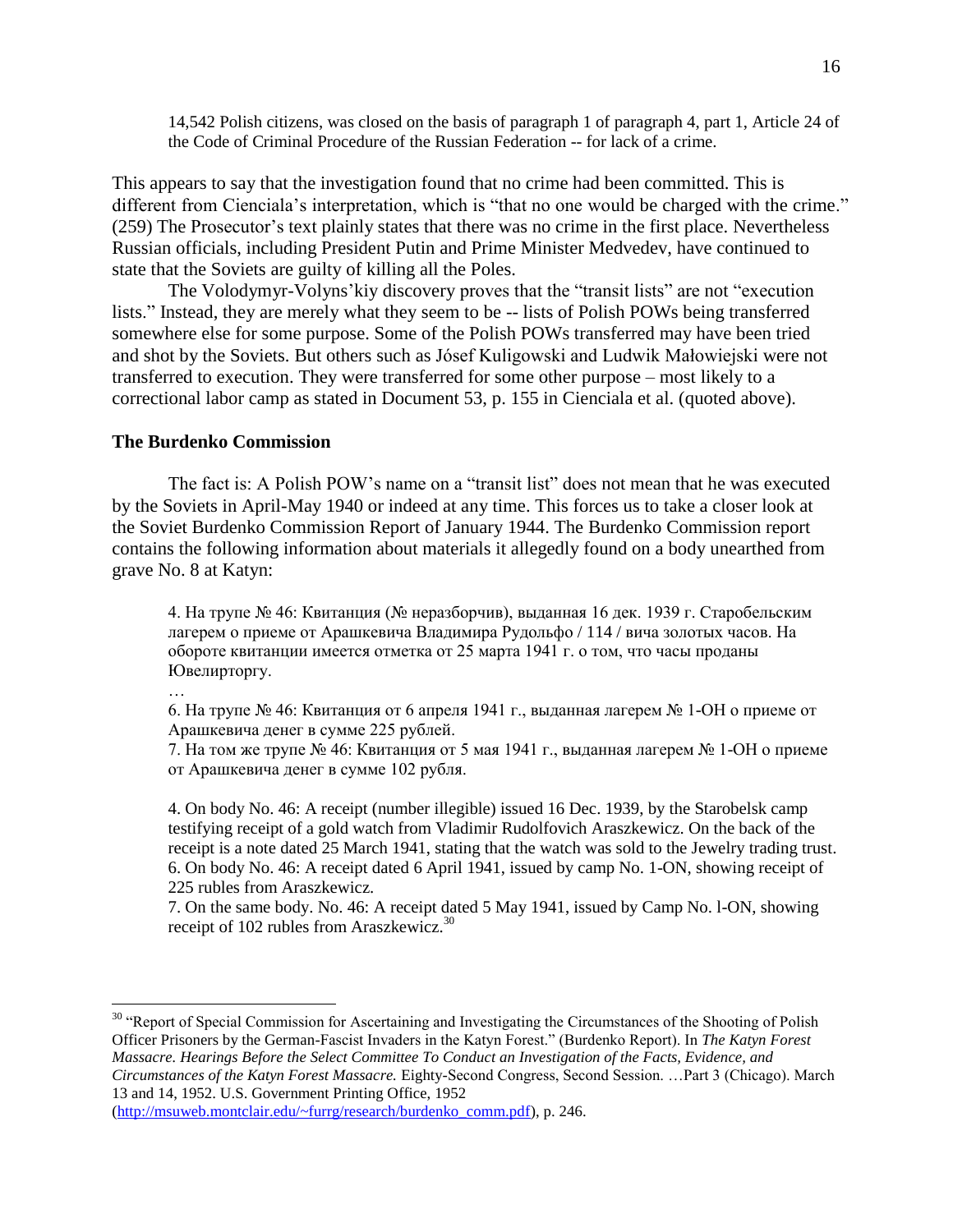14,542 Polish citizens, was closed on the basis of paragraph 1 of paragraph 4, part 1, Article 24 of the Code of Criminal Procedure of the Russian Federation -- for lack of a crime.

This appears to say that the investigation found that no crime had been committed. This is different from Cienciala's interpretation, which is "that no one would be charged with the crime." (259) The Prosecutor's text plainly states that there was no crime in the first place. Nevertheless Russian officials, including President Putin and Prime Minister Medvedev, have continued to state that the Soviets are guilty of killing all the Poles.

The Volodymyr-Volyns' kiy discovery proves that the "transit lists" are not "execution lists." Instead, they are merely what they seem to be -- lists of Polish POWs being transferred somewhere else for some purpose. Some of the Polish POWs transferred may have been tried and shot by the Soviets. But others such as Jósef Kuligowski and Ludwik Małowiejski were not transferred to execution. They were transferred for some other purpose – most likely to a correctional labor camp as stated in Document 53, p. 155 in Cienciala et al. (quoted above).

#### **The Burdenko Commission**

The fact is: A Polish POW's name on a "transit list" does not mean that he was executed by the Soviets in April-May 1940 or indeed at any time. This forces us to take a closer look at the Soviet Burdenko Commission Report of January 1944. The Burdenko Commission report contains the following information about materials it allegedly found on a body unearthed from grave No. 8 at Katyn:

4. На трупе № 46: Квитанция (№ неразборчив), выданная 16 дек. 1939 г. Старобельским лагерем о приеме от Арашкевича Владимира Рудольфо / 114 / вича золотых часов. На обороте квитанции имеется отметка от 25 марта 1941 г. о том, что часы проданы Ювелирторгу.

…

 $\overline{a}$ 

6. На трупе № 46: Квитанция от 6 апреля 1941 г., выданная лагерем № 1-ОН о приеме от Арашкевича денег в сумме 225 рублей.

7. На том же трупе № 46: Квитанция от 5 мая 1941 г., выданная лагерем № 1-ОН о приеме от Арашкевича денег в сумме 102 рубля.

4. On body No. 46: A receipt (number illegible) issued 16 Dec. 1939, by the Starobelsk camp testifying receipt of a gold watch from Vladimir Rudolfovich Araszkewicz. On the back of the receipt is a note dated 25 March 1941, stating that the watch was sold to the Jewelry trading trust. 6. On body No. 46: A receipt dated 6 April 1941, issued by camp No. 1-ON, showing receipt of 225 rubles from Araszkewicz.

7. On the same body. No. 46: A receipt dated 5 May 1941, issued by Camp No. l-ON, showing receipt of 102 rubles from Araszkewicz.<sup>30</sup>

<sup>30</sup> "Report of Special Commission for Ascertaining and Investigating the Circumstances of the Shooting of Polish Officer Prisoners by the German-Fascist Invaders in the Katyn Forest.‖ (Burdenko Report). In *The Katyn Forest Massacre. Hearings Before the Select Committee To Conduct an Investigation of the Facts, Evidence, and Circumstances of the Katyn Forest Massacre.* Eighty-Second Congress, Second Session. …Part 3 (Chicago). March 13 and 14, 1952. U.S. Government Printing Office, 1952

[\(http://msuweb.montclair.edu/~furrg/research/burdenko\\_comm.pdf\)](http://msuweb.montclair.edu/~furrg/research/burdenko_comm.pdf), p. 246.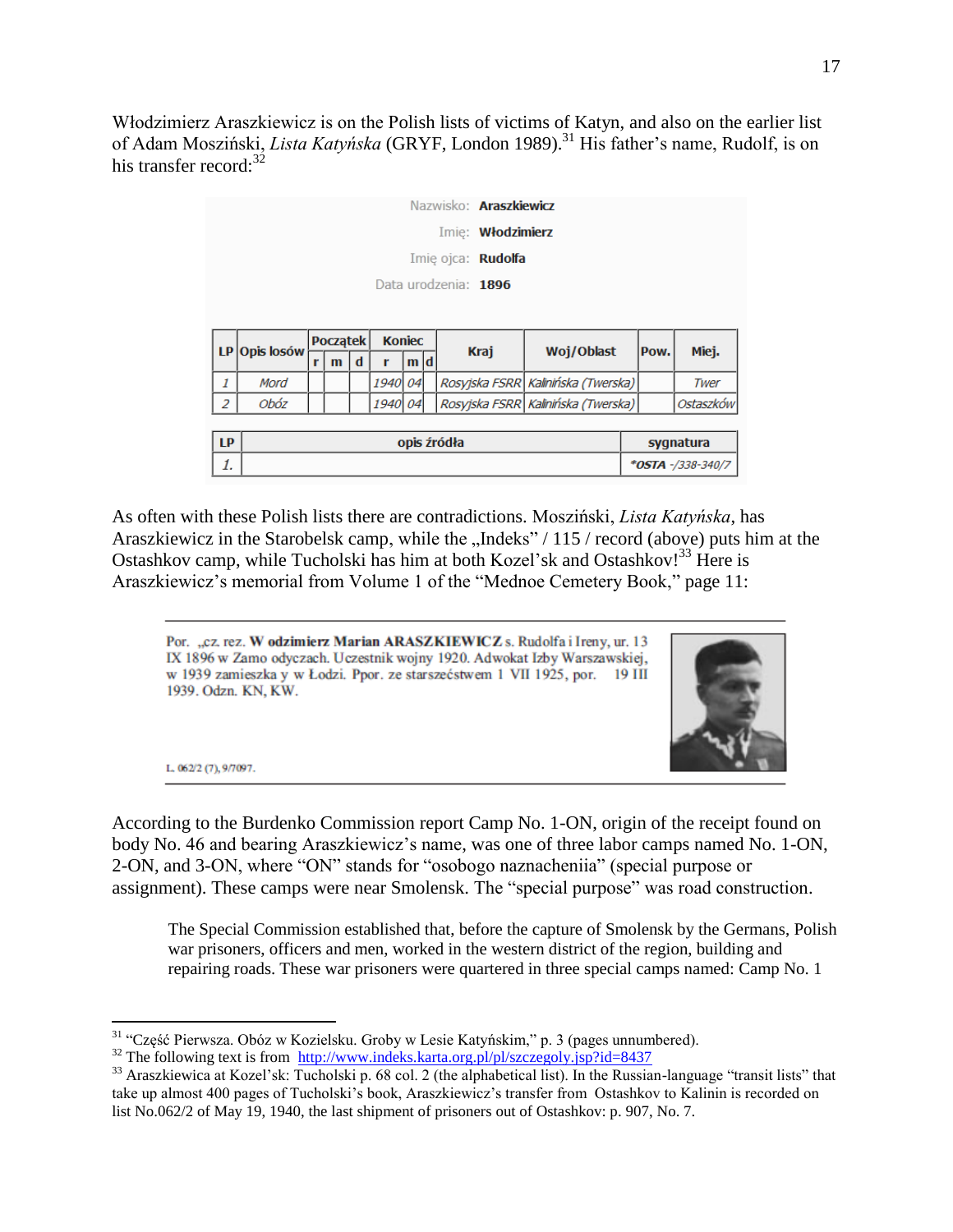Włodzimierz Araszkiewicz is on the Polish lists of victims of Katyn, and also on the earlier list of Adam Mosziński, *Lista Katyńska* (GRYF, London 1989).<sup>31</sup> His father's name, Rudolf, is on his transfer record: $32$ 

|     |               |   |                 |   |         |               |  | Nazwisko: <b>Araszkiewicz</b> |                                      |      |           |
|-----|---------------|---|-----------------|---|---------|---------------|--|-------------------------------|--------------------------------------|------|-----------|
|     |               |   |                 |   |         |               |  | Imie: Włodzimierz             |                                      |      |           |
|     |               |   |                 |   |         |               |  | Imie ojca: Rudolfa            |                                      |      |           |
|     |               |   |                 |   |         |               |  | Data urodzenia: 1896          |                                      |      |           |
|     |               |   |                 |   |         |               |  |                               |                                      |      |           |
|     |               |   |                 |   |         | <b>Koniec</b> |  |                               |                                      |      |           |
|     |               |   | <b>Początek</b> |   |         |               |  |                               |                                      |      |           |
|     | LP Opis losów | r | m               | d | r       | m/d           |  | <b>Kraj</b>                   | Woj/Oblast                           | Pow. | Miej.     |
| 1   | Mord          |   |                 |   | 1940 04 |               |  |                               | Rosyjska FSRR   Kalinińska (Twerska) |      | Twer      |
| 2   | <b>Obóz</b>   |   |                 |   | 1940 04 |               |  |                               | Rosyjska FSRR Kalinińska (Twerska)   |      | Ostaszków |
|     |               |   |                 |   |         |               |  |                               |                                      |      |           |
| LP. |               |   |                 |   |         |               |  | opis źródła                   |                                      |      | sygnatura |

As often with these Polish lists there are contradictions. Mosziński, *Lista Katyńska*, has Araszkiewicz in the Starobelsk camp, while the "Indeks"  $/ 115 /$  record (above) puts him at the Ostashkov camp, while Tucholski has him at both Kozel'sk and Ostashkov!<sup>33</sup> Here is Araszkiewicz's memorial from Volume 1 of the "Mednoe Cemetery Book," page 11:





L, 062/2 (7), 9/7097.

 $\overline{a}$ 

According to the Burdenko Commission report Camp No. 1-ON, origin of the receipt found on body No. 46 and bearing Araszkiewicz's name, was one of three labor camps named No. 1-ON, 2-ON, and 3-ON, where "ON" stands for "osobogo naznacheniia" (special purpose or assignment). These camps were near Smolensk. The "special purpose" was road construction.

The Special Commission established that, before the capture of Smolensk by the Germans, Polish war prisoners, officers and men, worked in the western district of the region, building and repairing roads. These war prisoners were quartered in three special camps named: Camp No. 1

<sup>&</sup>lt;sup>31</sup> "Część Pierwsza. Obóz w Kozielsku. Groby w Lesie Katyńskim," p. 3 (pages unnumbered).

 $32$  The following text is from <http://www.indeks.karta.org.pl/pl/szczegoly.jsp?id=8437>

 $33$  Araszkiewica at Kozel'sk: Tucholski p. 68 col. 2 (the alphabetical list). In the Russian-language "transit lists" that take up almost 400 pages of Tucholski's book, Araszkiewicz's transfer from Ostashkov to Kalinin is recorded on list No.062/2 of May 19, 1940, the last shipment of prisoners out of Ostashkov: p. 907, No. 7.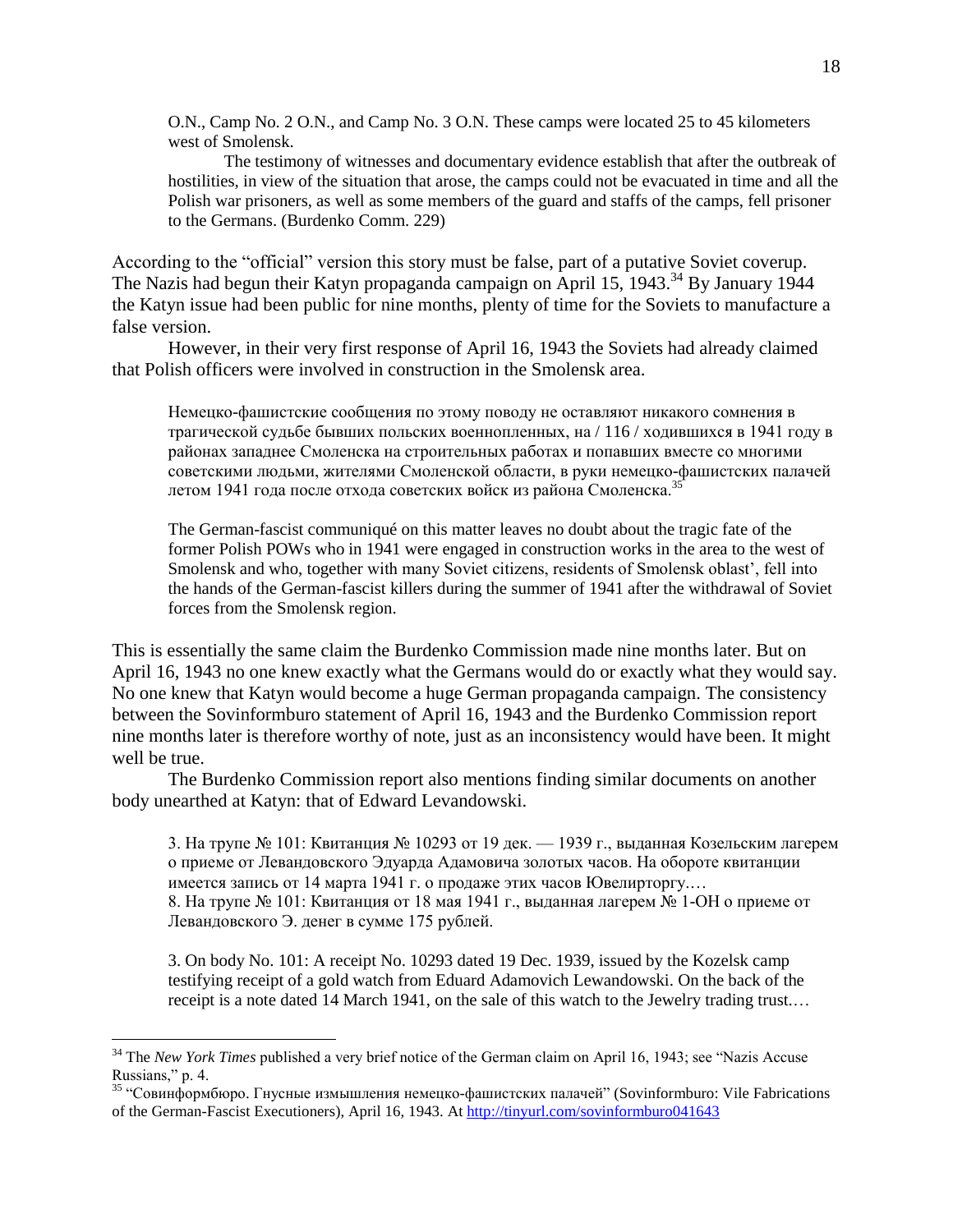O.N., Camp No. 2 O.N., and Camp No. 3 O.N. These camps were located 25 to 45 kilometers west of Smolensk.

The testimony of witnesses and documentary evidence establish that after the outbreak of hostilities, in view of the situation that arose, the camps could not be evacuated in time and all the Polish war prisoners, as well as some members of the guard and staffs of the camps, fell prisoner to the Germans. (Burdenko Comm. 229)

According to the "official" version this story must be false, part of a putative Soviet coverup. The Nazis had begun their Katyn propaganda campaign on April 15, 1943.<sup>34</sup> By January 1944 the Katyn issue had been public for nine months, plenty of time for the Soviets to manufacture a false version.

However, in their very first response of April 16, 1943 the Soviets had already claimed that Polish officers were involved in construction in the Smolensk area.

Немецко-фашистские сообщения по этому поводу не оставляют никакого сомнения в трагической судьбе бывших польских военнопленных, на / 116 / ходившихся в 1941 году в районах западнее Смоленска на строительных работах и попавших вместе со многими советскими людьми, жителями Смоленской области, в руки немецко-фашистских палачей летом 1941 года после отхода советских войск из района Смоленска.<sup>35</sup>

The German-fascist communiqué on this matter leaves no doubt about the tragic fate of the former Polish POWs who in 1941 were engaged in construction works in the area to the west of Smolensk and who, together with many Soviet citizens, residents of Smolensk oblast', fell into the hands of the German-fascist killers during the summer of 1941 after the withdrawal of Soviet forces from the Smolensk region.

This is essentially the same claim the Burdenko Commission made nine months later. But on April 16, 1943 no one knew exactly what the Germans would do or exactly what they would say. No one knew that Katyn would become a huge German propaganda campaign. The consistency between the Sovinformburo statement of April 16, 1943 and the Burdenko Commission report nine months later is therefore worthy of note, just as an inconsistency would have been. It might well be true.

The Burdenko Commission report also mentions finding similar documents on another body unearthed at Katyn: that of Edward Levandowski.

3. На трупе № 101: Квитанция № 10293 от 19 дек. — 1939 г., выданная Козельским лагерем о приеме от Левандовского Эдуарда Адамовича золотых часов. На обороте квитанции имеется запись от 14 марта 1941 г. о продаже этих часов Ювелирторгу.… 8. На трупе № 101: Квитанция от 18 мая 1941 г., выданная лагерем № 1-ОН о приеме от Левандовского Э. денег в сумме 175 рублей.

3. On body No. 101: A receipt No. 10293 dated 19 Dec. 1939, issued by the Kozelsk camp testifying receipt of a gold watch from Eduard Adamovich Lewandowski. On the back of the receipt is a note dated 14 March 1941, on the sale of this watch to the Jewelry trading trust.…

<sup>&</sup>lt;sup>34</sup> The *New York Times* published a very brief notice of the German claim on April 16, 1943; see "Nazis Accuse" Russians," p. 4.

<sup>&</sup>lt;sup>35</sup> "Совинформбюро. Гнусные измышления немецко-фашистских палачей" (Sovinformburo: Vile Fabrications of the German-Fascist Executioners), April 16, 1943. At<http://tinyurl.com/sovinformburo041643>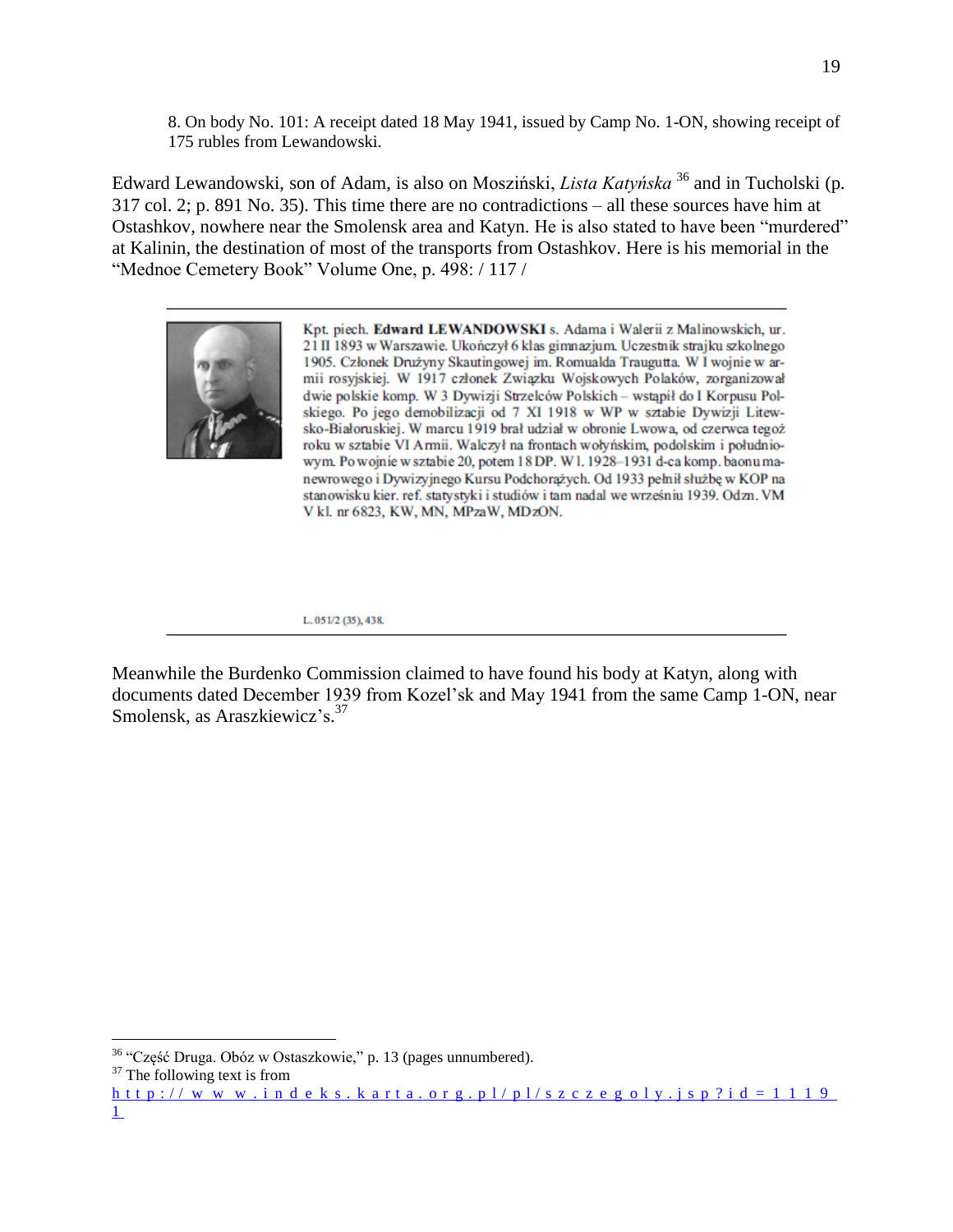8. On body No. 101: A receipt dated 18 May 1941, issued by Camp No. 1-ON, showing receipt of 175 rubles from Lewandowski.

Edward Lewandowski, son of Adam, is also on Mosziński, *Lista Katyńska* <sup>36</sup> and in Tucholski (p. 317 col. 2; p. 891 No. 35). This time there are no contradictions – all these sources have him at Ostashkov, nowhere near the Smolensk area and Katyn. He is also stated to have been "murdered" at Kalinin, the destination of most of the transports from Ostashkov. Here is his memorial in the "Mednoe Cemetery Book" Volume One, p. 498: / 117 /



Kpt. piech. Edward LEWANDOWSKI s. Adama i Walerii z Malinowskich. ur. 21 II 1893 w Warszawie, Ukończył 6 klas gimnazjum, Uczestnik strajku szkolnego 1905. Członek Drużyny Skautingowej im. Romualda Traugutta. W I wojnie w armii rosyjskiej. W 1917 członek Związku Wojskowych Polaków, zorganizował dwie polskie komp. W 3 Dywizji Strzelców Polskich - wstapił do I Korpusu Polskiego. Po jego demobilizacji od 7 XI 1918 w WP w sztabie Dywizji Litewsko-Białoruskiej. W marcu 1919 brał udział w obronie Lwowa, od czerwca tegoż roku w sztabie VI Armii. Walczył na frontach wołyńskim, podolskim i południowym. Po wojnie w sztabie 20, potem 18 DP. W l. 1928-1931 d-ca komp. baonu manewrowego i Dywizyjnego Kursu Podchorażych. Od 1933 pełnił służbę w KOP na stanowisku kier, ref. statystyki i studiów i tam nadal we wrześniu 1939. Odzn. VM V kl. nr 6823, KW, MN, MPzaW, MDzON.

L. 051/2 (35), 438.

Meanwhile the Burdenko Commission claimed to have found his body at Katyn, along with documents dated December 1939 from Kozel'sk and May 1941 from the same Camp 1-ON, near Smolensk, as Araszkiewicz's.<sup>37</sup>

<sup>37</sup> The following text is from

 $36$  "Część Druga. Obóz w Ostaszkowie," p. 13 (pages unnumbered).

h t t p :  $/$  w w w . i n d e k s . k a r t a . o r g . p  $1$  / p  $1$  / s z c z e g o  $1y$  . j s p ? i d = 1 1 1 9 [1](http://www.indeks.karta.org.pl/pl/szczegoly.jsp?id=11191)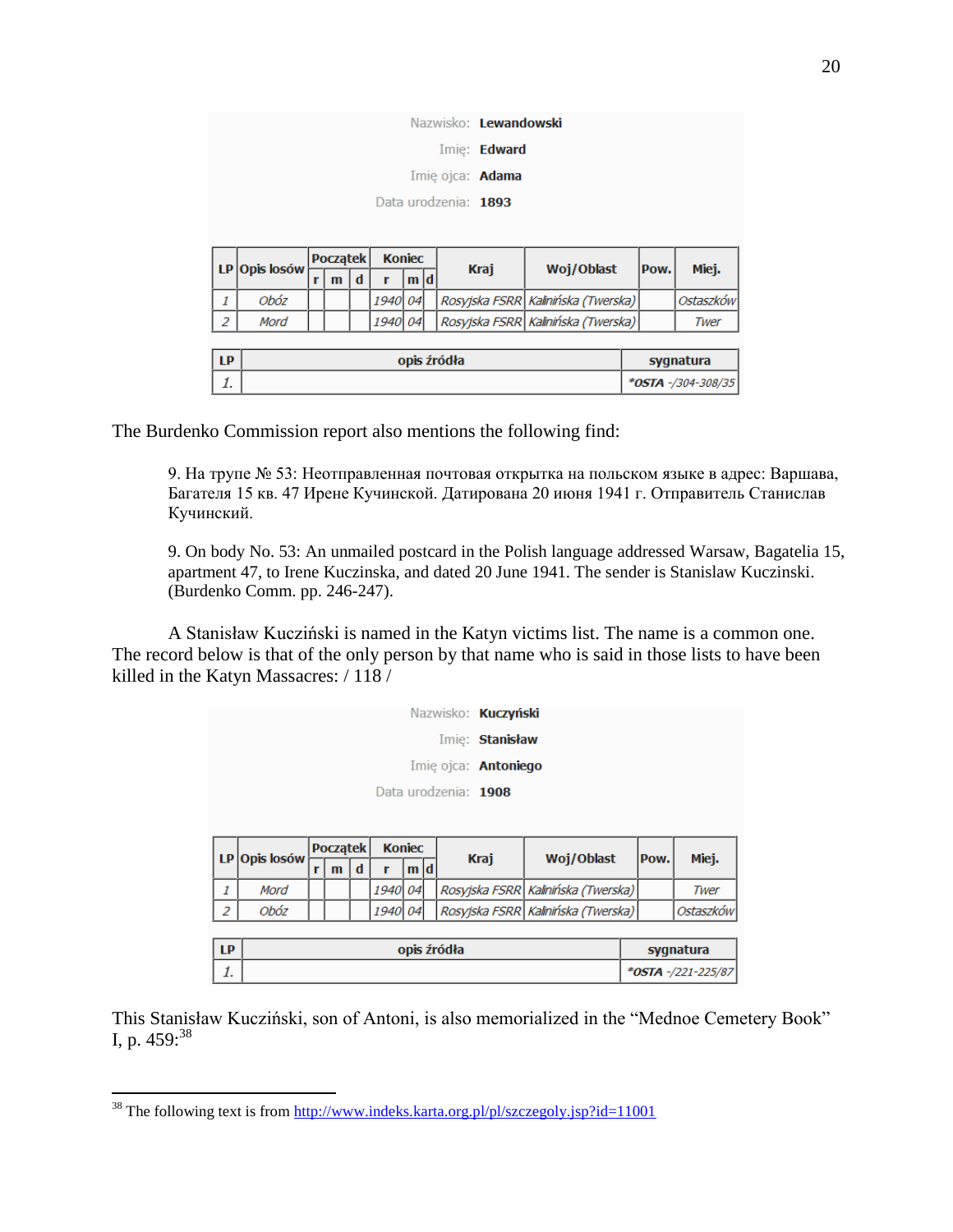|    |               |   |                      |                         |         |  |     | Nazwisko: Lewandowski<br>Imie: Edward<br>Imie ojca: Adama |                                    |      |                    |
|----|---------------|---|----------------------|-------------------------|---------|--|-----|-----------------------------------------------------------|------------------------------------|------|--------------------|
|    |               |   |                      |                         |         |  |     | Data urodzenia: 1893                                      |                                    |      |                    |
|    | LP Opis losów | r | <b>Początek</b><br>m | <b>Koniec</b><br>d<br>r |         |  | m/d | <b>Kraj</b>                                               | Woj/Oblast                         | Pow. | Miej.              |
| 1  | Obóz          |   |                      |                         | 1940 04 |  |     |                                                           | Rosyjska FSRR Kalinińska (Twerska) |      | Ostaszków          |
| 2  | Mord          |   |                      |                         | 1940 04 |  |     |                                                           | Rosyjska FSRR Kalinińska (Twerska) |      | Twer               |
|    |               |   |                      |                         |         |  |     |                                                           |                                    |      |                    |
| LP |               |   |                      |                         |         |  |     | opis źródła                                               |                                    |      | sygnatura          |
| 1. |               |   |                      |                         |         |  |     |                                                           |                                    |      | *OSTA -/304-308/35 |

The Burdenko Commission report also mentions the following find:

9. На трупе № 53: Неотправленная почтовая открытка на польском языке в адрес: Варшава, Багателя 15 кв. 47 Ирене Кучинской. Датирована 20 июня 1941 г. Отправитель Станислав Кучинский.

9. On body No. 53: An unmailed postcard in the Polish language addressed Warsaw, Bagatelia 15, apartment 47, to Irene Kuczinska, and dated 20 June 1941. The sender is Stanislaw Kuczinski. (Burdenko Comm. pp. 246-247).

A Stanisław Kucziński is named in the Katyn victims list. The name is a common one. The record below is that of the only person by that name who is said in those lists to have been killed in the Katyn Massacres: / 118 /

|                      |               |   |                 |   |               |     |  | Nazwisko: <b>Kuczyński</b>  |                                      |      |           |
|----------------------|---------------|---|-----------------|---|---------------|-----|--|-----------------------------|--------------------------------------|------|-----------|
|                      |               |   |                 |   |               |     |  | Imie: Stanisław             |                                      |      |           |
|                      |               |   |                 |   |               |     |  | Imie ojca: <b>Antoniego</b> |                                      |      |           |
| Data urodzenia: 1908 |               |   |                 |   |               |     |  |                             |                                      |      |           |
|                      |               |   |                 |   |               |     |  |                             |                                      |      |           |
|                      |               |   |                 |   |               |     |  |                             |                                      |      |           |
|                      |               |   | <b>Początek</b> |   | <b>Koniec</b> |     |  |                             |                                      |      |           |
|                      | LP Opis losów | r | m               | d | г             | m/d |  | <b>Kraj</b>                 | Woj/Oblast                           | Pow. | Miej.     |
| 1                    | Mord          |   |                 |   | 1940 04       |     |  |                             | Rosyjska FSRR   Kalinińska (Twerska) |      | Twer      |
| 2                    | Obóz          |   |                 |   | 1940 04       |     |  |                             | Rosyjska FSRR Kalinińska (Twerska)   |      | Ostaszków |
|                      |               |   |                 |   |               |     |  |                             |                                      |      |           |

 $1.$ \*OSTA -/221-225/87

This Stanisław Kucziński, son of Antoni, is also memorialized in the "Mednoe Cemetery Book" I, p.  $459:38$ 

 $38$  The following text is from<http://www.indeks.karta.org.pl/pl/szczegoly.jsp?id=11001>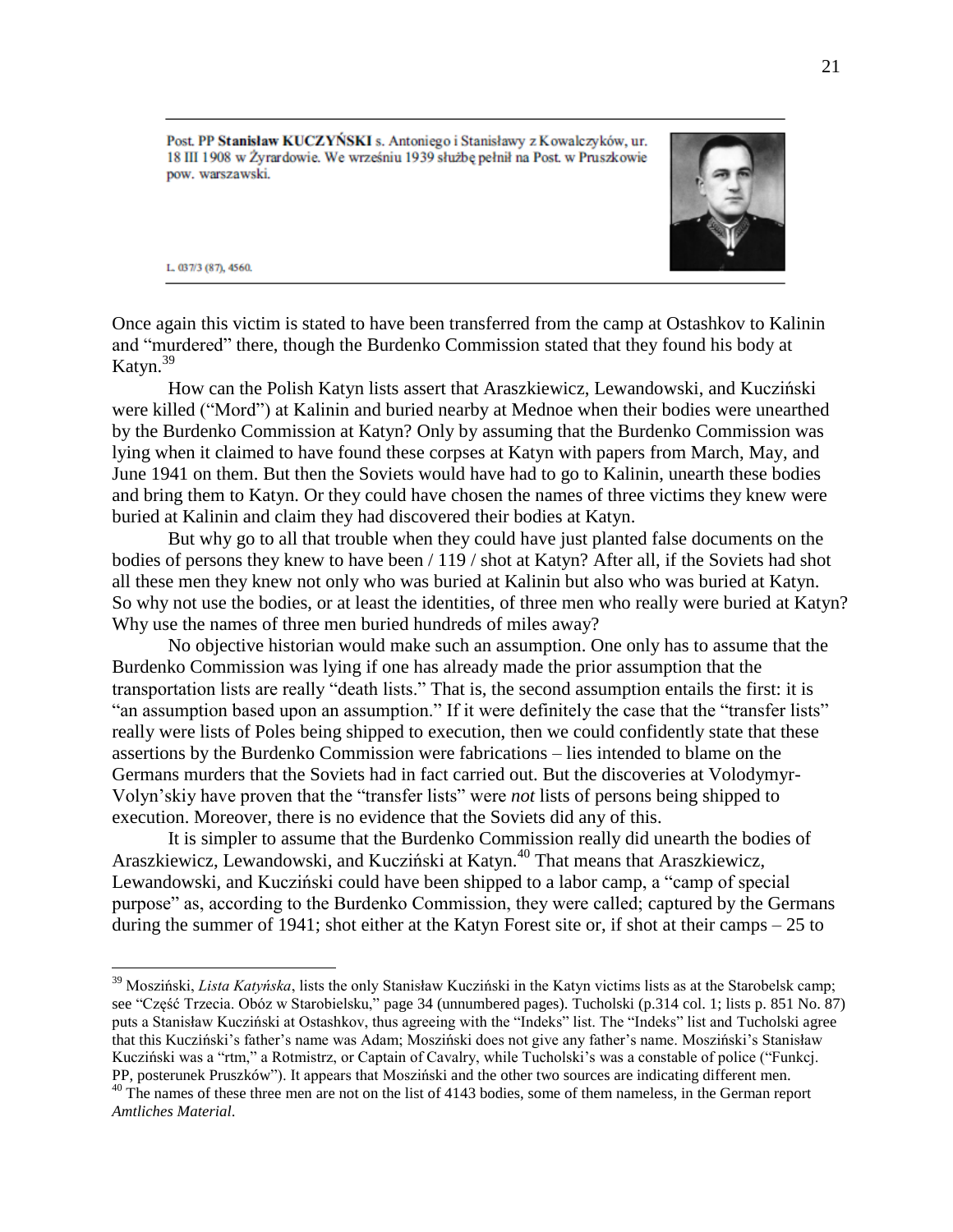Post. PP Stanisław KUCZYŃSKI s. Antoniego i Stanisławy z Kowalczyków, ur. 18 III 1908 w Żyrardowie. We wrześniu 1939 służbę pełnił na Post. w Pruszkowie pow. warszawski.



L. 037/3 (87), 4560.

 $\overline{a}$ 

Once again this victim is stated to have been transferred from the camp at Ostashkov to Kalinin and "murdered" there, though the Burdenko Commission stated that they found his body at Katyn.<sup>39</sup>

How can the Polish Katyn lists assert that Araszkiewicz, Lewandowski, and Kucziński were killed ("Mord") at Kalinin and buried nearby at Mednoe when their bodies were unearthed by the Burdenko Commission at Katyn? Only by assuming that the Burdenko Commission was lying when it claimed to have found these corpses at Katyn with papers from March, May, and June 1941 on them. But then the Soviets would have had to go to Kalinin, unearth these bodies and bring them to Katyn. Or they could have chosen the names of three victims they knew were buried at Kalinin and claim they had discovered their bodies at Katyn.

But why go to all that trouble when they could have just planted false documents on the bodies of persons they knew to have been / 119 / shot at Katyn? After all, if the Soviets had shot all these men they knew not only who was buried at Kalinin but also who was buried at Katyn. So why not use the bodies, or at least the identities, of three men who really were buried at Katyn? Why use the names of three men buried hundreds of miles away?

No objective historian would make such an assumption. One only has to assume that the Burdenko Commission was lying if one has already made the prior assumption that the transportation lists are really "death lists." That is, the second assumption entails the first: it is "an assumption based upon an assumption." If it were definitely the case that the "transfer lists" really were lists of Poles being shipped to execution, then we could confidently state that these assertions by the Burdenko Commission were fabrications – lies intended to blame on the Germans murders that the Soviets had in fact carried out. But the discoveries at Volodymyr-Volyn'skiy have proven that the "transfer lists" were *not* lists of persons being shipped to execution. Moreover, there is no evidence that the Soviets did any of this.

It is simpler to assume that the Burdenko Commission really did unearth the bodies of Araszkiewicz, Lewandowski, and Kucziński at Katyn. <sup>40</sup> That means that Araszkiewicz, Lewandowski, and Kucziński could have been shipped to a labor camp, a "camp of special purpose" as, according to the Burdenko Commission, they were called; captured by the Germans during the summer of 1941; shot either at the Katyn Forest site or, if shot at their camps – 25 to

<sup>&</sup>lt;sup>39</sup> Mosziński, *Lista Katyńska*, lists the only Stanisław Kucziński in the Katyn victims lists as at the Starobelsk camp; see "Część Trzecia. Obóz w Starobielsku," page 34 (unnumbered pages). Tucholski (p.314 col. 1; lists p. 851 No. 87) puts a Stanisław Kucziński at Ostashkov, thus agreeing with the "Indeks" list. The "Indeks" list and Tucholski agree that this Kucziński's father's name was Adam; Mosziński does not give any father's name. Mosziński's Stanisław Kucziński was a "rtm," a Rotmistrz, or Captain of Cavalry, while Tucholski's was a constable of police ("Funkcj. PP, posterunek Pruszków"). It appears that Mosziński and the other two sources are indicating different men.

<sup>&</sup>lt;sup>40</sup> The names of these three men are not on the list of 4143 bodies, some of them nameless, in the German report *Amtliches Material*.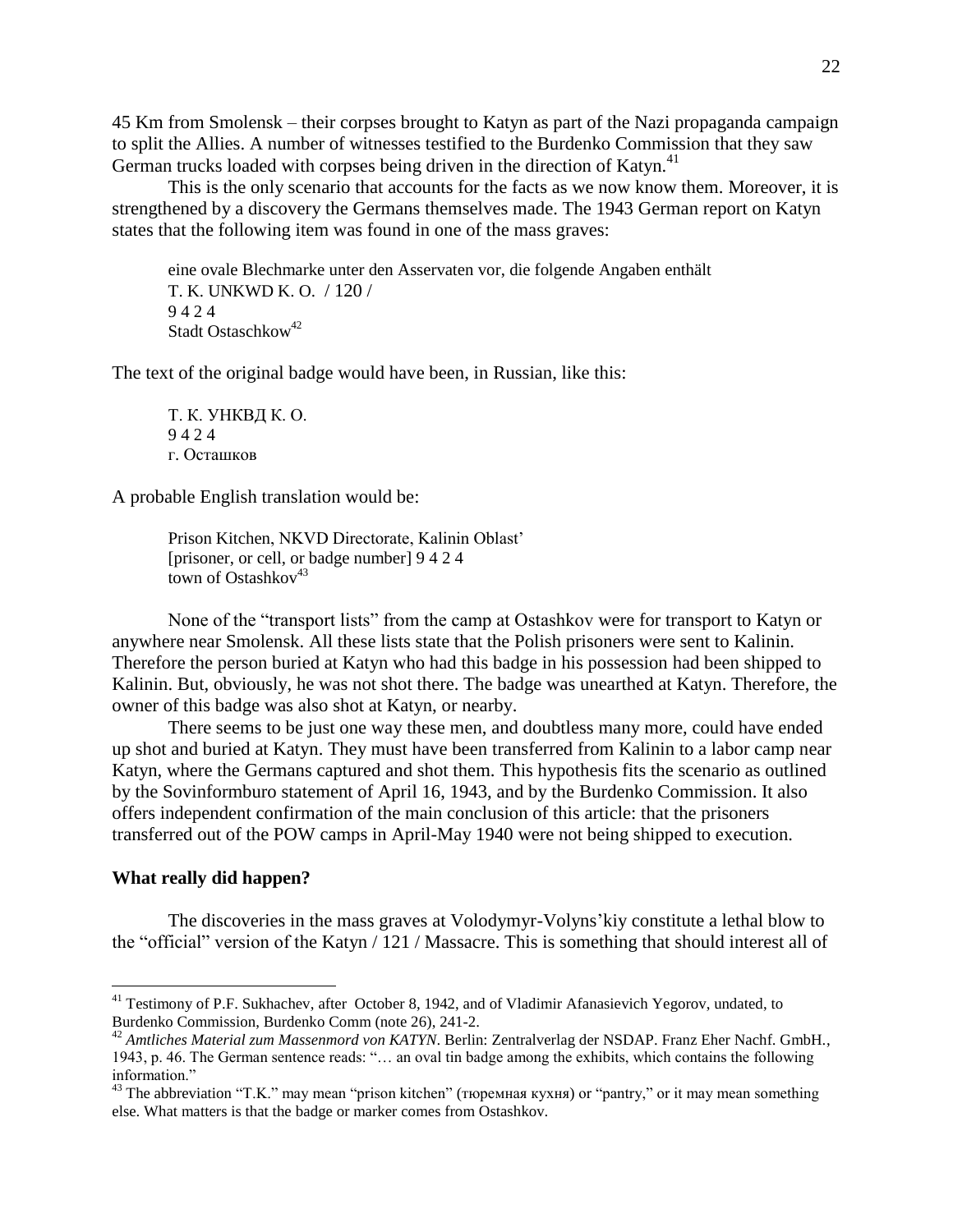45 Km from Smolensk – their corpses brought to Katyn as part of the Nazi propaganda campaign to split the Allies. A number of witnesses testified to the Burdenko Commission that they saw German trucks loaded with corpses being driven in the direction of Katyn.<sup>41</sup>

This is the only scenario that accounts for the facts as we now know them. Moreover, it is strengthened by a discovery the Germans themselves made. The 1943 German report on Katyn states that the following item was found in one of the mass graves:

eine ovale Blechmarke unter den Asservaten vor, die folgende Angaben enthält T. K. UNKWD K. O. / 120 / 9 4 2 4 Stadt Ostaschkow<sup>42</sup>

The text of the original badge would have been, in Russian, like this:

Т. К. УНКВД К. О. 9 4 2 4 г. Осташков

A probable English translation would be:

Prison Kitchen, NKVD Directorate, Kalinin Oblast' [prisoner, or cell, or badge number] 9 4 2 4 town of Ostashkov $43$ 

None of the "transport lists" from the camp at Ostashkov were for transport to Katyn or anywhere near Smolensk. All these lists state that the Polish prisoners were sent to Kalinin. Therefore the person buried at Katyn who had this badge in his possession had been shipped to Kalinin. But, obviously, he was not shot there. The badge was unearthed at Katyn. Therefore, the owner of this badge was also shot at Katyn, or nearby.

There seems to be just one way these men, and doubtless many more, could have ended up shot and buried at Katyn. They must have been transferred from Kalinin to a labor camp near Katyn, where the Germans captured and shot them. This hypothesis fits the scenario as outlined by the Sovinformburo statement of April 16, 1943, and by the Burdenko Commission. It also offers independent confirmation of the main conclusion of this article: that the prisoners transferred out of the POW camps in April-May 1940 were not being shipped to execution.

#### **What really did happen?**

 $\overline{a}$ 

The discoveries in the mass graves at Volodymyr-Volyns'kiy constitute a lethal blow to the "official" version of the Katyn / 121 / Massacre. This is something that should interest all of

<sup>&</sup>lt;sup>41</sup> Testimony of P.F. Sukhachev, after October 8, 1942, and of Vladimir Afanasievich Yegorov, undated, to Burdenko Commission, Burdenko Comm (note 26), 241-2.

<sup>42</sup> *Amtliches Material zum Massenmord von KATYN*. Berlin: Zentralverlag der NSDAP. Franz Eher Nachf. GmbH., 1943, p. 46. The German sentence reads: "... an oval tin badge among the exhibits, which contains the following information."

<sup>&</sup>lt;sup>43</sup> The abbreviation "Т.К." may mean "prison kitchen" (тюремная кухня) or "pantry," or it may mean something else. What matters is that the badge or marker comes from Ostashkov.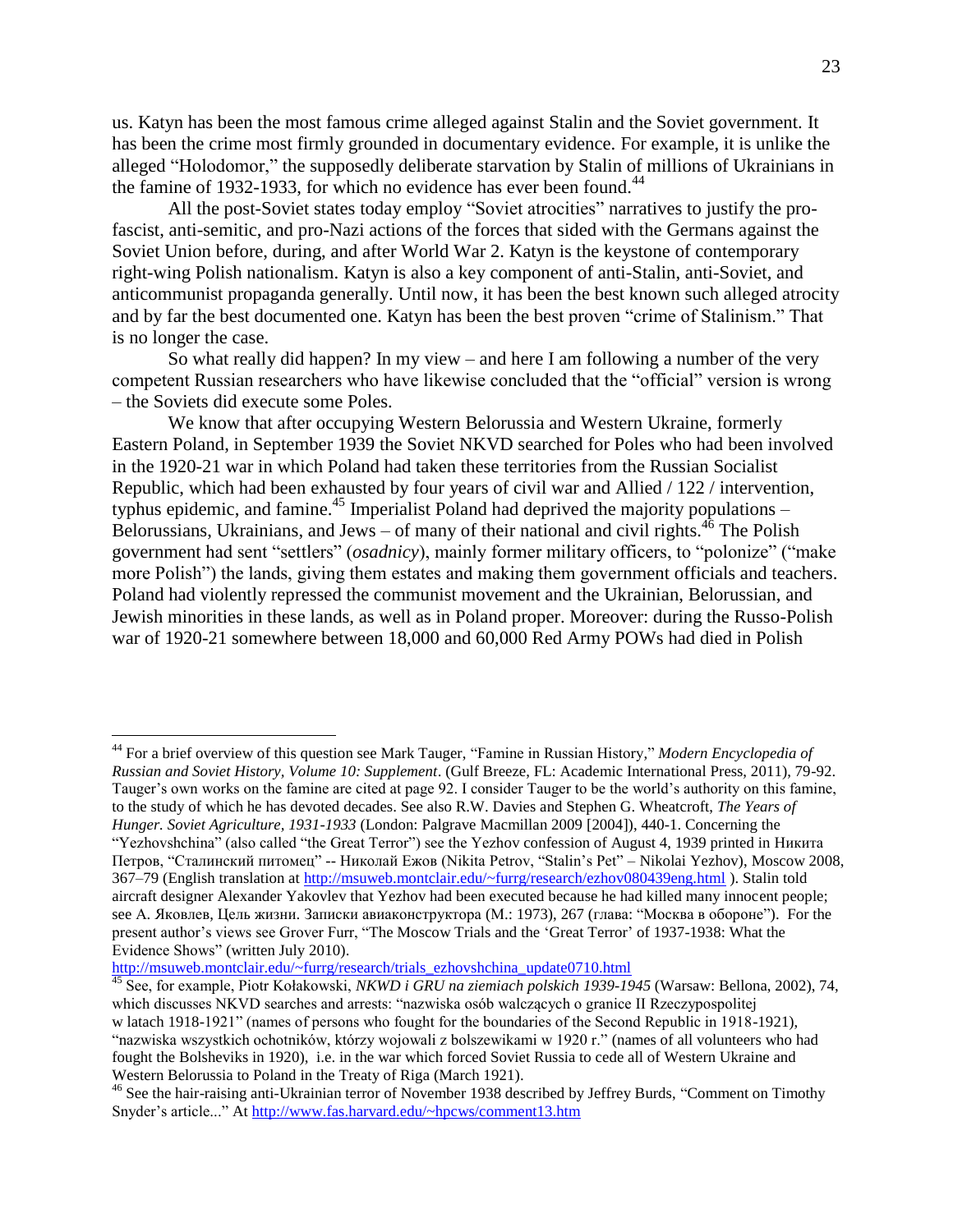us. Katyn has been the most famous crime alleged against Stalin and the Soviet government. It has been the crime most firmly grounded in documentary evidence. For example, it is unlike the alleged "Holodomor," the supposedly deliberate starvation by Stalin of millions of Ukrainians in the famine of 1932-1933, for which no evidence has ever been found.<sup>44</sup>

All the post-Soviet states today employ "Soviet atrocities" narratives to justify the profascist, anti-semitic, and pro-Nazi actions of the forces that sided with the Germans against the Soviet Union before, during, and after World War 2. Katyn is the keystone of contemporary right-wing Polish nationalism. Katyn is also a key component of anti-Stalin, anti-Soviet, and anticommunist propaganda generally. Until now, it has been the best known such alleged atrocity and by far the best documented one. Katyn has been the best proven "crime of Stalinism." That is no longer the case.

So what really did happen? In my view – and here I am following a number of the very competent Russian researchers who have likewise concluded that the "official" version is wrong – the Soviets did execute some Poles.

We know that after occupying Western Belorussia and Western Ukraine, formerly Eastern Poland, in September 1939 the Soviet NKVD searched for Poles who had been involved in the 1920-21 war in which Poland had taken these territories from the Russian Socialist Republic, which had been exhausted by four years of civil war and Allied / 122 / intervention, typhus epidemic, and famine.<sup>45</sup> Imperialist Poland had deprived the majority populations – Belorussians, Ukrainians, and Jews – of many of their national and civil rights.<sup>46</sup> The Polish government had sent "settlers" (*osadnicy*), mainly former military officers, to "polonize" ("make more Polish") the lands, giving them estates and making them government officials and teachers. Poland had violently repressed the communist movement and the Ukrainian, Belorussian, and Jewish minorities in these lands, as well as in Poland proper. Moreover: during the Russo-Polish war of 1920-21 somewhere between 18,000 and 60,000 Red Army POWs had died in Polish

<sup>&</sup>lt;sup>44</sup> For a brief overview of this question see Mark Tauger, "Famine in Russian History," Modern Encyclopedia of *Russian and Soviet History, Volume 10: Supplement*. (Gulf Breeze, FL: Academic International Press, 2011), 79-92. Tauger's own works on the famine are cited at page 92. I consider Tauger to be the world's authority on this famine, to the study of which he has devoted decades. See also R.W. Davies and Stephen G. Wheatcroft, *The Years of Hunger. Soviet Agriculture, 1931-1933* (London: Palgrave Macmillan 2009 [2004]), 440-1. Concerning the ―Yezhovshchina‖ (also called ―the Great Terror‖) see the Yezhov confession of August 4, 1939 printed in Никита Петров, "Сталинский питомец" -- Николай Ежов (Nikita Petrov, "Stalin's Pet" - Nikolai Yezhov), Moscow 2008, 367–79 (English translation at<http://msuweb.montclair.edu/~furrg/research/ezhov080439eng.html> ). Stalin told aircraft designer Alexander Yakovlev that Yezhov had been executed because he had killed many innocent people; see А. Яковлев, Цель жизни. Записки авиаконструктора (М.: 1973), 267 (глава: "Москва в обороне"). For the present author's views see Grover Furr, "The Moscow Trials and the 'Great Terror' of 1937-1938: What the Evidence Shows" (written July 2010).

[http://msuweb.montclair.edu/~furrg/research/trials\\_ezhovshchina\\_update0710.html](http://msuweb.montclair.edu/~furrg/research/trials_ezhovshchina_update0710.html) 

<sup>45</sup> See, for example, Piotr Kołakowski, *NKWD i GRU na ziemiach polskich 1939-1945* (Warsaw: Bellona, 2002), 74, which discusses NKVD searches and arrests: "nazwiska osób walczących o granice II Rzeczypospolitej w latach 1918-1921" (names of persons who fought for the boundaries of the Second Republic in 1918-1921), "nazwiska wszystkich ochotników, którzy wojowali z bolszewikami w 1920 r." (names of all volunteers who had fought the Bolsheviks in 1920), i.e. in the war which forced Soviet Russia to cede all of Western Ukraine and Western Belorussia to Poland in the Treaty of Riga (March 1921).

<sup>&</sup>lt;sup>46</sup> See the hair-raising anti-Ukrainian terror of November 1938 described by Jeffrey Burds, "Comment on Timothy Snyder's article..." At<http://www.fas.harvard.edu/~hpcws/comment13.htm>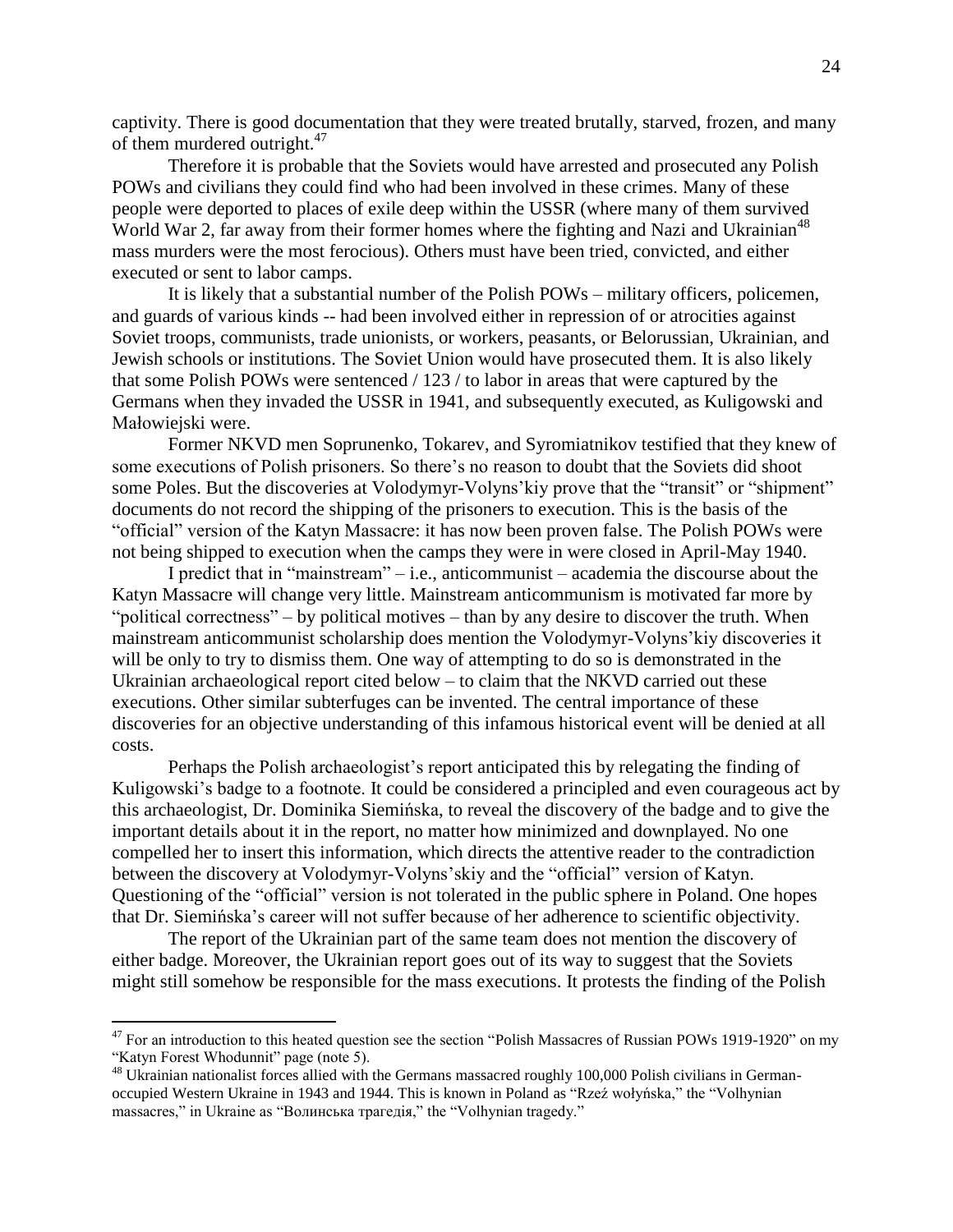captivity. There is good documentation that they were treated brutally, starved, frozen, and many of them murdered outright.<sup>47</sup>

Therefore it is probable that the Soviets would have arrested and prosecuted any Polish POWs and civilians they could find who had been involved in these crimes. Many of these people were deported to places of exile deep within the USSR (where many of them survived World War 2, far away from their former homes where the fighting and Nazi and Ukrainian<sup>48</sup> mass murders were the most ferocious). Others must have been tried, convicted, and either executed or sent to labor camps.

It is likely that a substantial number of the Polish POWs – military officers, policemen, and guards of various kinds -- had been involved either in repression of or atrocities against Soviet troops, communists, trade unionists, or workers, peasants, or Belorussian, Ukrainian, and Jewish schools or institutions. The Soviet Union would have prosecuted them. It is also likely that some Polish POWs were sentenced / 123 / to labor in areas that were captured by the Germans when they invaded the USSR in 1941, and subsequently executed, as Kuligowski and Małowiejski were.

Former NKVD men Soprunenko, Tokarev, and Syromiatnikov testified that they knew of some executions of Polish prisoners. So there's no reason to doubt that the Soviets did shoot some Poles. But the discoveries at Volodymyr-Volyns' kiy prove that the "transit" or "shipment" documents do not record the shipping of the prisoners to execution. This is the basis of the "official" version of the Katyn Massacre: it has now been proven false. The Polish POWs were not being shipped to execution when the camps they were in were closed in April-May 1940.

I predict that in "mainstream" – i.e., anticommunist – academia the discourse about the Katyn Massacre will change very little. Mainstream anticommunism is motivated far more by "political correctness" – by political motives – than by any desire to discover the truth. When mainstream anticommunist scholarship does mention the Volodymyr-Volyns'kiy discoveries it will be only to try to dismiss them. One way of attempting to do so is demonstrated in the Ukrainian archaeological report cited below – to claim that the NKVD carried out these executions. Other similar subterfuges can be invented. The central importance of these discoveries for an objective understanding of this infamous historical event will be denied at all costs.

Perhaps the Polish archaeologist's report anticipated this by relegating the finding of Kuligowski's badge to a footnote. It could be considered a principled and even courageous act by this archaeologist, Dr. Dominika Siemińska, to reveal the discovery of the badge and to give the important details about it in the report, no matter how minimized and downplayed. No one compelled her to insert this information, which directs the attentive reader to the contradiction between the discovery at Volodymyr-Volyns'skiy and the "official" version of Katyn. Questioning of the "official" version is not tolerated in the public sphere in Poland. One hopes that Dr. Siemińska's career will not suffer because of her adherence to scientific objectivity.

The report of the Ukrainian part of the same team does not mention the discovery of either badge. Moreover, the Ukrainian report goes out of its way to suggest that the Soviets might still somehow be responsible for the mass executions. It protests the finding of the Polish

 $47$  For an introduction to this heated question see the section "Polish Massacres of Russian POWs 1919-1920" on my "Katyn Forest Whodunnit" page (note 5).

<sup>&</sup>lt;sup>48</sup> Ukrainian nationalist forces allied with the Germans massacred roughly 100,000 Polish civilians in Germanoccupied Western Ukraine in 1943 and 1944. This is known in Poland as "Rzeź wołyńska," the "Volhynian massacres," in Ukraine as "Волинська трагедія," the "Volhynian tragedy."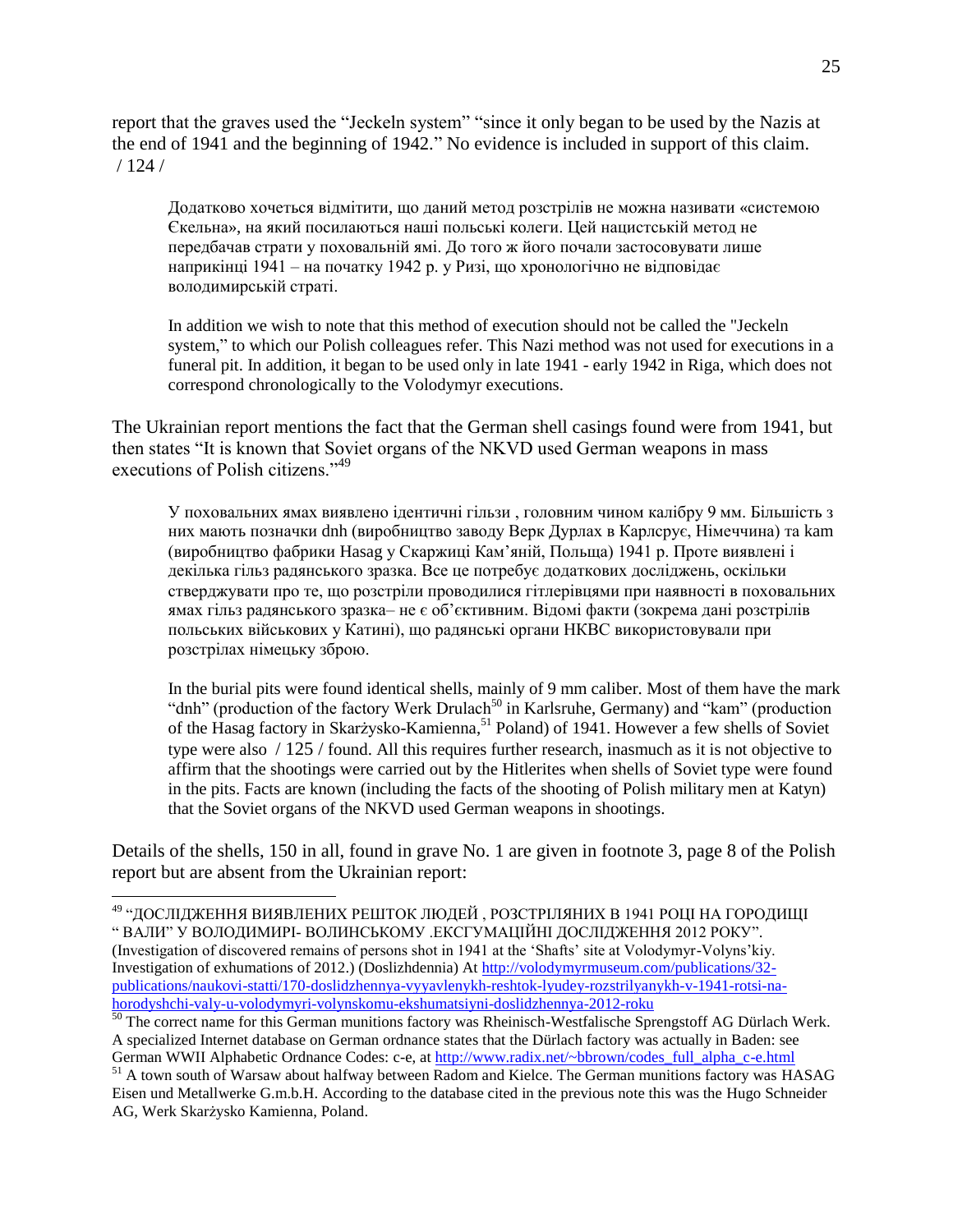report that the graves used the "Jeckeln system" "since it only began to be used by the Nazis at the end of 1941 and the beginning of 1942." No evidence is included in support of this claim. / 124 /

Додатково хочеться відмітити, що даний метод розстрілів не можна називати «системою Єкельна», на який посилаються наші польські колеги. Цей нацистській метод не передбачав страти у поховальній ямі. До того ж його почали застосовувати лише наприкінці 1941 – на початку 1942 р. у Ризі, що хронологічно не відповідає володимирській страті.

In addition we wish to note that this method of execution should not be called the "Jeckeln system," to which our Polish colleagues refer. This Nazi method was not used for executions in a funeral pit. In addition, it began to be used only in late 1941 - early 1942 in Riga, which does not correspond chronologically to the Volodymyr executions.

The Ukrainian report mentions the fact that the German shell casings found were from 1941, but then states "It is known that Soviet organs of the NKVD used German weapons in mass executions of Polish citizens."<sup>49</sup>

У поховальних ямах виявлено ідентичні гільзи , головним чином калібру 9 мм. Більшість з них мають позначки dnh (виробництво заводу Верк Дурлах в Карлсрує, Німеччина) та kam (виробництво фабрики Hasag у Скаржиці Кам'яній, Польща) 1941 р. Проте виявлені і декілька гільз радянського зразка. Все це потребує додаткових досліджень, оскільки стверджувати про те, що розстріли проводилися гітлерівцями при наявності в поховальних ямах гільз радянського зразка– не є об'єктивним. Відомі факти (зокрема дані розстрілів польських військових у Катині), що радянські органи НКВС використовували при розстрілах німецьку зброю.

In the burial pits were found identical shells, mainly of 9 mm caliber. Most of them have the mark "dnh" (production of the factory Werk Drulach<sup>50</sup> in Karlsruhe, Germany) and "kam" (production of the Hasag factory in Skarżysko-Kamienna, <sup>51</sup> Poland) of 1941. However a few shells of Soviet type were also / 125 / found. All this requires further research, inasmuch as it is not objective to affirm that the shootings were carried out by the Hitlerites when shells of Soviet type were found in the pits. Facts are known (including the facts of the shooting of Polish military men at Katyn) that the Soviet organs of the NKVD used German weapons in shootings.

Details of the shells, 150 in all, found in grave No. 1 are given in footnote 3, page 8 of the Polish report but are absent from the Ukrainian report:

(Investigation of discovered remains of persons shot in 1941 at the ‗Shafts' site at Volodymyr-Volyns'kiy. Investigation of exhumations of 2012.) (Doslizhdennia) A[t http://volodymyrmuseum.com/publications/32](http://volodymyrmuseum.com/publications/32-publications/naukovi-statti/170-doslidzhennya-vyyavlenykh-reshtok-lyudey-rozstrilyanykh-v-1941-rotsi-na-horodyshchi-valy-u-volodymyri-volynskomu-ekshumatsiyni-doslidzhennya-2012-roku) [publications/naukovi-statti/170-doslidzhennya-vyyavlenykh-reshtok-lyudey-rozstrilyanykh-v-1941-rotsi-na](http://volodymyrmuseum.com/publications/32-publications/naukovi-statti/170-doslidzhennya-vyyavlenykh-reshtok-lyudey-rozstrilyanykh-v-1941-rotsi-na-horodyshchi-valy-u-volodymyri-volynskomu-ekshumatsiyni-doslidzhennya-2012-roku)[horodyshchi-valy-u-volodymyri-volynskomu-ekshumatsiyni-doslidzhennya-2012-roku](http://volodymyrmuseum.com/publications/32-publications/naukovi-statti/170-doslidzhennya-vyyavlenykh-reshtok-lyudey-rozstrilyanykh-v-1941-rotsi-na-horodyshchi-valy-u-volodymyri-volynskomu-ekshumatsiyni-doslidzhennya-2012-roku)

 $\overline{a}$ 49 "ДОСЛІДЖЕННЯ ВИЯВЛЕНИХ РЕШТОК ЛЮДЕЙ, РОЗСТРІЛЯНИХ В 1941 РОЦІ НА ГОРОДИЩІ " ВАЛИ" У ВОЛОДИМИРІ- ВОЛИНСЬКОМУ .ЕКСГУМАЦІЙНІ ДОСЛІДЖЕННЯ 2012 РОКУ".

<sup>&</sup>lt;sup>50</sup> The correct name for this German munitions factory was Rheinisch-Westfalische Sprengstoff AG Dürlach Werk. A specialized Internet database on German ordnance states that the Dürlach factory was actually in Baden: see German WWII Alphabetic Ordnance Codes: c-e, a[t http://www.radix.net/~bbrown/codes\\_full\\_alpha\\_c-e.html](http://www.radix.net/~bbrown/codes_full_alpha_c-e.html)

<sup>51</sup> A town south of Warsaw about halfway between Radom and Kielce. The German munitions factory was HASAG Eisen und Metallwerke G.m.b.H. According to the database cited in the previous note this was the Hugo Schneider AG, Werk Skarżysko Kamienna, Poland.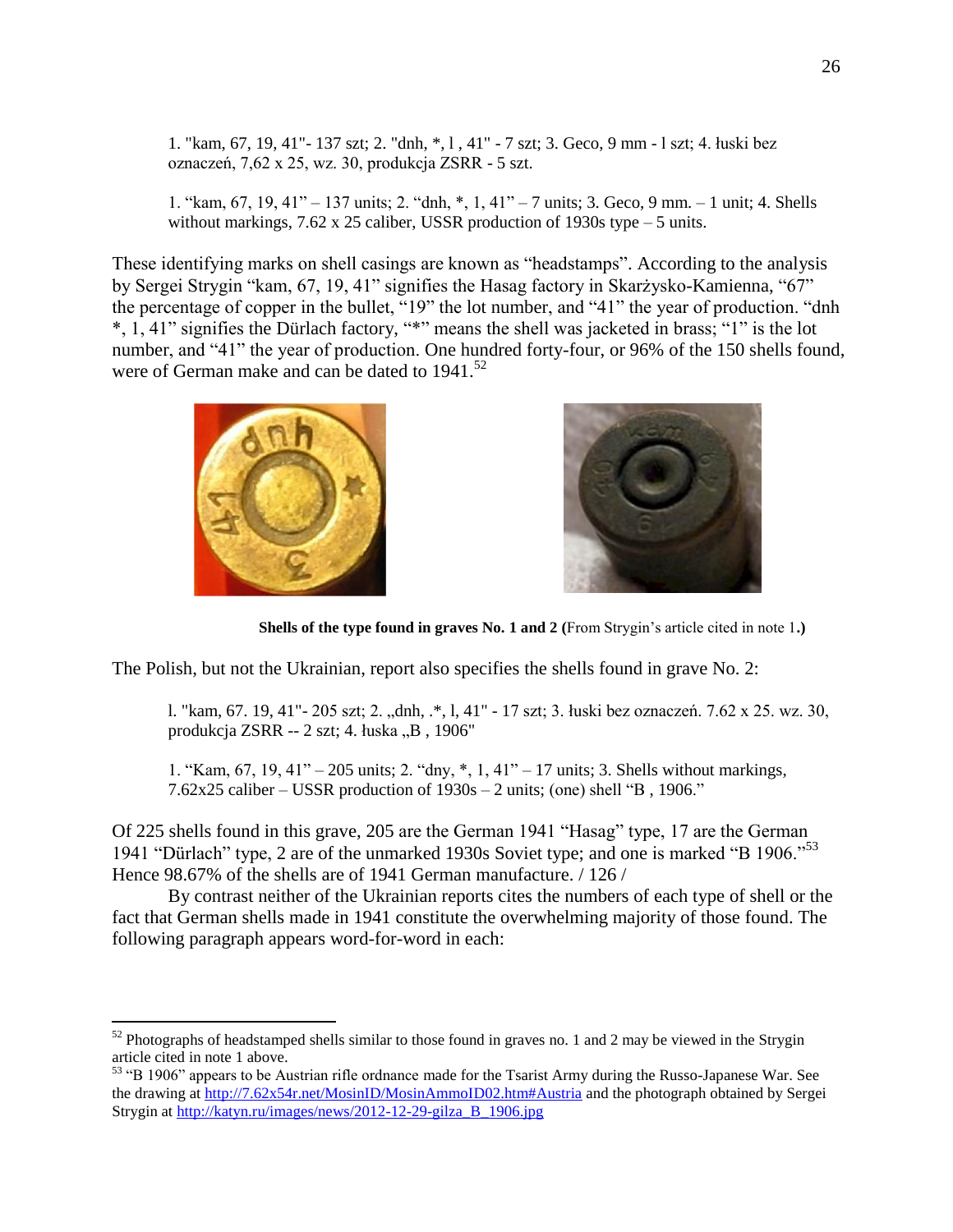1. "kam, 67, 19, 41"- 137 szt; 2. "dnh, \*, l , 41" - 7 szt; 3. Geco, 9 mm - l szt; 4. łuski bez oznaczeń, 7,62 x 25, wz. 30, produkcja ZSRR - 5 szt.

1. "kam, 67, 19, 41" – 137 units; 2. "dnh,  $*, 1, 41$ " – 7 units; 3. Geco, 9 mm. – 1 unit; 4. Shells without markings, 7.62 x 25 caliber, USSR production of 1930s type – 5 units.

These identifying marks on shell casings are known as "headstamps". According to the analysis by Sergei Strygin "kam, 67, 19, 41" signifies the Hasag factory in Skarżysko-Kamienna, "67" the percentage of copper in the bullet,  $"19"$  the lot number, and  $"41"$  the year of production.  $"dh$  $*$ , 1, 41" signifies the Dürlach factory, " $*$ " means the shell was jacketed in brass; "1" is the lot number, and "41" the year of production. One hundred forty-four, or 96% of the 150 shells found, were of German make and can be dated to 1941.<sup>52</sup>



 $\overline{a}$ 



**Shells of the type found in graves No. 1 and 2 (**From Strygin's article cited in note 1**.)**

The Polish, but not the Ukrainian, report also specifies the shells found in grave No. 2:

l. "kam, 67. 19, 41" - 205 szt; 2. "dnh, .\*, 1, 41" - 17 szt; 3. łuski bez oznaczeń. 7.62 x 25. wz. 30, produkcja ZSRR  $-2$  szt; 4. łuska "B, 1906"

1. "Kam, 67, 19, 41" – 205 units; 2. "dny,  $*, 1, 41"$  – 17 units; 3. Shells without markings,  $7.62x25$  caliber – USSR production of  $1930s - 2$  units; (one) shell "B, 1906."

Of 225 shells found in this grave, 205 are the German 1941 "Hasag" type, 17 are the German 1941 "Dürlach" type, 2 are of the unmarked 1930s Soviet type; and one is marked "B 1906."<sup>53</sup> Hence 98.67% of the shells are of 1941 German manufacture. / 126 /

By contrast neither of the Ukrainian reports cites the numbers of each type of shell or the fact that German shells made in 1941 constitute the overwhelming majority of those found. The following paragraph appears word-for-word in each:

 $52$  Photographs of headstamped shells similar to those found in graves no. 1 and 2 may be viewed in the Strygin article cited in note 1 above.

<sup>53 &</sup>quot;B 1906" appears to be Austrian rifle ordnance made for the Tsarist Army during the Russo-Japanese War. See the drawing a[t http://7.62x54r.net/MosinID/MosinAmmoID02.htm#Austria](http://7.62x54r.net/MosinID/MosinAmmoID02.htm#Austria) and the photograph obtained by Sergei Strygin at [http://katyn.ru/images/news/2012-12-29-gilza\\_B\\_1906.jpg](http://katyn.ru/images/news/2012-12-29-gilza_B_1906.jpg)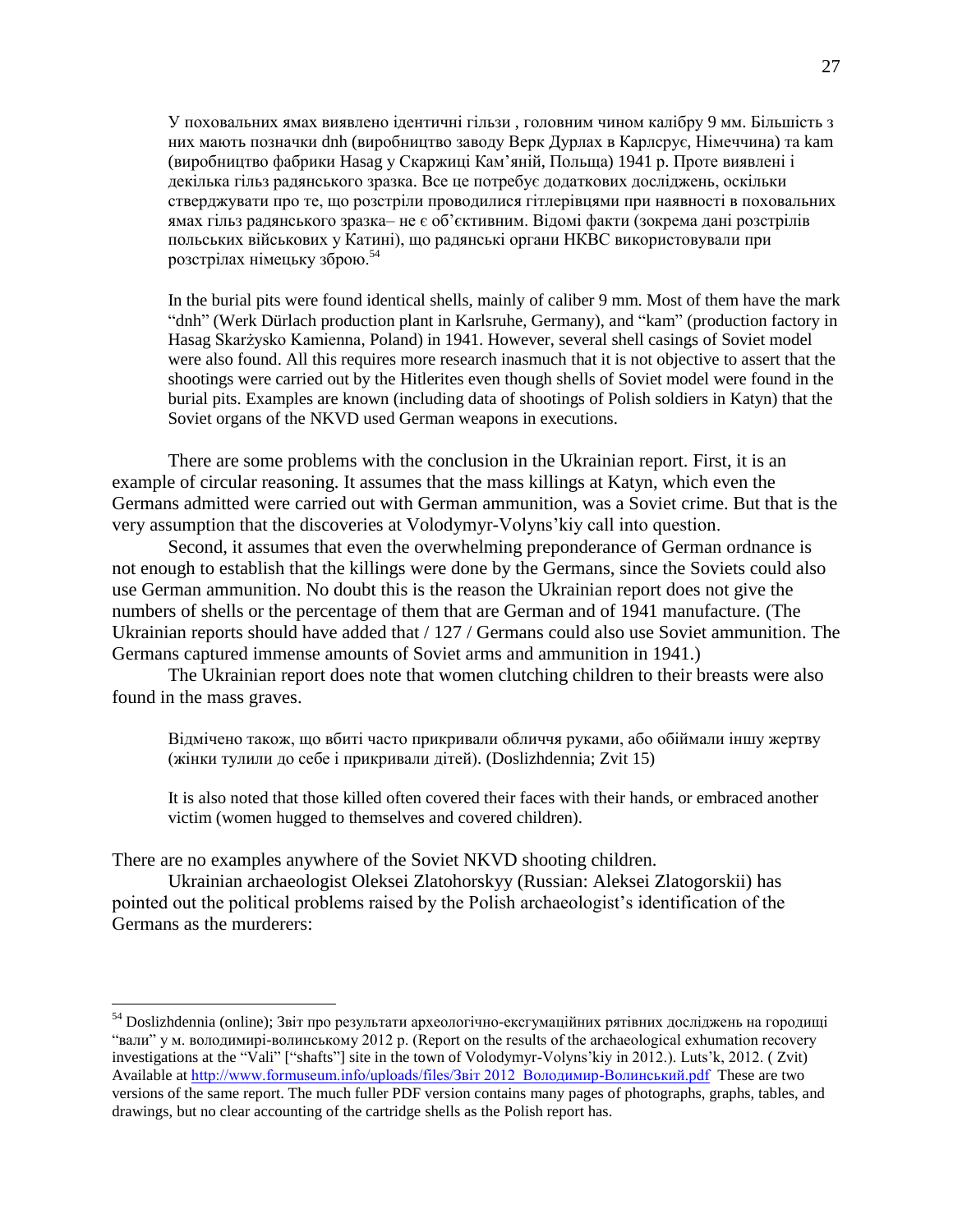У поховальних ямах виявлено ідентичні гільзи , головним чином калібру 9 мм. Більшість з них мають позначки dnh (виробництво заводу Верк Дурлах в Карлсрує, Німеччина) та kam (виробництво фабрики Hasag у Скаржиці Кам'яній, Польща) 1941 р. Проте виявлені і декілька гільз радянського зразка. Все це потребує додаткових досліджень, оскільки стверджувати про те, що розстріли проводилися гітлерівцями при наявності в поховальних ямах гільз радянського зразка– не є об'єктивним. Відомі факти (зокрема дані розстрілів польських військових у Катині), що радянські органи НКВС використовували при розстрілах німецьку зброю.<sup>54</sup>

In the burial pits were found identical shells, mainly of caliber 9 mm. Most of them have the mark "dnh" (Werk Dürlach production plant in Karlsruhe, Germany), and "kam" (production factory in Hasag Skarżysko Kamienna, Poland) in 1941. However, several shell casings of Soviet model were also found. All this requires more research inasmuch that it is not objective to assert that the shootings were carried out by the Hitlerites even though shells of Soviet model were found in the burial pits. Examples are known (including data of shootings of Polish soldiers in Katyn) that the Soviet organs of the NKVD used German weapons in executions.

There are some problems with the conclusion in the Ukrainian report. First, it is an example of circular reasoning. It assumes that the mass killings at Katyn, which even the Germans admitted were carried out with German ammunition, was a Soviet crime. But that is the very assumption that the discoveries at Volodymyr-Volyns'kiy call into question.

Second, it assumes that even the overwhelming preponderance of German ordnance is not enough to establish that the killings were done by the Germans, since the Soviets could also use German ammunition. No doubt this is the reason the Ukrainian report does not give the numbers of shells or the percentage of them that are German and of 1941 manufacture. (The Ukrainian reports should have added that / 127 / Germans could also use Soviet ammunition. The Germans captured immense amounts of Soviet arms and ammunition in 1941.)

The Ukrainian report does note that women clutching children to their breasts were also found in the mass graves.

Відмічено також, що вбиті часто прикривали обличчя руками, або обіймали іншу жертву (жінки тулили до себе і прикривали дітей). (Doslizhdennia; Zvit 15)

It is also noted that those killed often covered their faces with their hands, or embraced another victim (women hugged to themselves and covered children).

There are no examples anywhere of the Soviet NKVD shooting children.

 $\overline{a}$ 

Ukrainian archaeologist Oleksei Zlatohorskyy (Russian: Aleksei Zlatogorskii) has pointed out the political problems raised by the Polish archaeologist's identification of the Germans as the murderers:

<sup>&</sup>lt;sup>54</sup> Doslizhdennia (online); Звіт про результати археологічно-ексгумаційних рятівних досліджень на городищі ―вали‖ у м. володимирі-волинському 2012 р. (Report on the results of the archaeological exhumation recovery investigations at the "Vali" ["shafts"] site in the town of Volodymyr-Volyns' kiy in 2012.). Luts'k, 2012. (Zvit) Available at [http://www.formuseum.info/uploads/files/Звіт 2012\\_Володимир-Волинський.pdf](http://www.formuseum.info/uploads/files/Звіт%202012_Володимир-Волинський.pdf) These are two versions of the same report. The much fuller PDF version contains many pages of photographs, graphs, tables, and drawings, but no clear accounting of the cartridge shells as the Polish report has.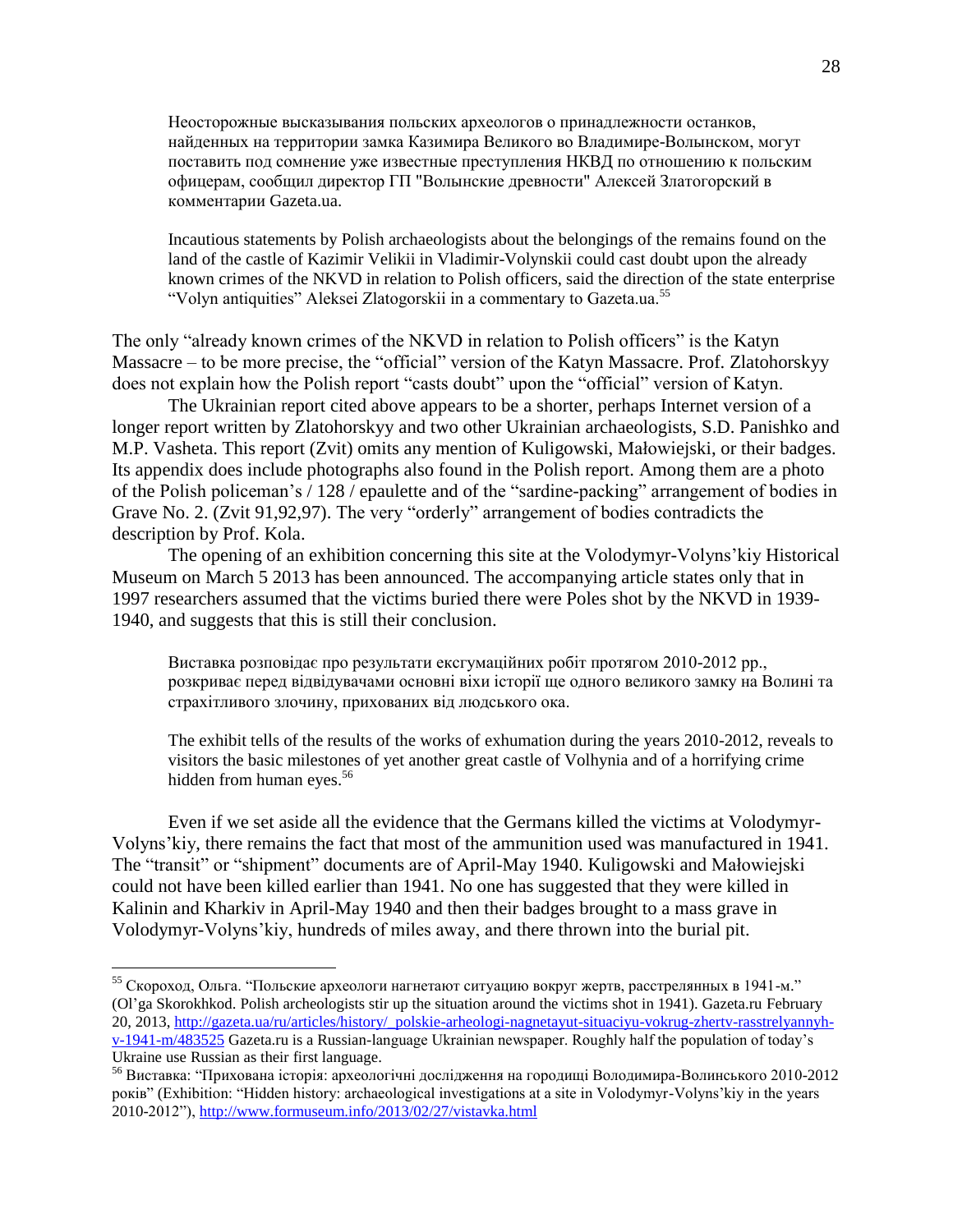Неосторожные высказывания польских археологов о принадлежности останков, найденных на территории замка Казимира Великого во Владимире-Волынском, могут поставить под сомнение уже известные преступления НКВД по отношению к польским офицерам, сообщил директор ГП "Волынские древности" Алексей Златогорский в комментарии Gazeta.ua.

Incautious statements by Polish archaeologists about the belongings of the remains found on the land of the castle of Kazimir Velikii in Vladimir-Volynskii could cast doubt upon the already known crimes of the NKVD in relation to Polish officers, said the direction of the state enterprise "Volyn antiquities" Aleksei Zlatogorskii in a commentary to Gazeta.ua.<sup>55</sup>

The only "already known crimes of the NKVD in relation to Polish officers" is the Katyn Massacre – to be more precise, the "official" version of the Katyn Massacre. Prof. Zlatohorskyy does not explain how the Polish report "casts doubt" upon the "official" version of Katyn.

The Ukrainian report cited above appears to be a shorter, perhaps Internet version of a longer report written by Zlatohorskyy and two other Ukrainian archaeologists, S.D. Panishko and M.P. Vasheta. This report (Zvit) omits any mention of Kuligowski, Małowiejski, or their badges. Its appendix does include photographs also found in the Polish report. Among them are a photo of the Polish policeman's / 128 / epaulette and of the "sardine-packing" arrangement of bodies in Grave No. 2. (Zvit 91,92,97). The very "orderly" arrangement of bodies contradicts the description by Prof. Kola.

The opening of an exhibition concerning this site at the Volodymyr-Volyns'kiy Historical Museum on March 5 2013 has been announced. The accompanying article states only that in 1997 researchers assumed that the victims buried there were Poles shot by the NKVD in 1939- 1940, and suggests that this is still their conclusion.

Виставка розповідає про результати ексгумаційних робіт протягом 2010-2012 рр., розкриває перед відвідувачами основні віхи історії ще одного великого замку на Волині та страхітливого злочину, прихованих від людського ока.

The exhibit tells of the results of the works of exhumation during the years 2010-2012, reveals to visitors the basic milestones of yet another great castle of Volhynia and of a horrifying crime hidden from human eyes.<sup>56</sup>

Even if we set aside all the evidence that the Germans killed the victims at Volodymyr-Volyns'kiy, there remains the fact that most of the ammunition used was manufactured in 1941. The "transit" or "shipment" documents are of April-May 1940. Kuligowski and Małowiejski could not have been killed earlier than 1941. No one has suggested that they were killed in Kalinin and Kharkiv in April-May 1940 and then their badges brought to a mass grave in Volodymyr-Volyns'kiy, hundreds of miles away, and there thrown into the burial pit.

<sup>55</sup> Скороход. Ольга. "Польские археологи нагнетают ситуацию вокруг жертв, расстрелянных в 1941-м." (Ol'ga Skorokhkod. Polish archeologists stir up the situation around the victims shot in 1941). Gazeta.ru February 20, 2013, [http://gazeta.ua/ru/articles/history/\\_polskie-arheologi-nagnetayut-situaciyu-vokrug-zhertv-rasstrelyannyh](http://gazeta.ua/ru/articles/history/_polskie-arheologi-nagnetayut-situaciyu-vokrug-zhertv-rasstrelyannyh-v-1941-m/483525)[v-1941-m/483525](http://gazeta.ua/ru/articles/history/_polskie-arheologi-nagnetayut-situaciyu-vokrug-zhertv-rasstrelyannyh-v-1941-m/483525) Gazeta.ru is a Russian-language Ukrainian newspaper. Roughly half the population of today's Ukraine use Russian as their first language.

<sup>56</sup> Виставка: "Прихована історія: археологічні дослідження на городищі Володимира-Волинського 2010-2012 років" (Exhibition: "Hidden history: archaeological investigations at a site in Volodymyr-Volyns'kiy in the years 2010-2012‖),<http://www.formuseum.info/2013/02/27/vistavka.html>